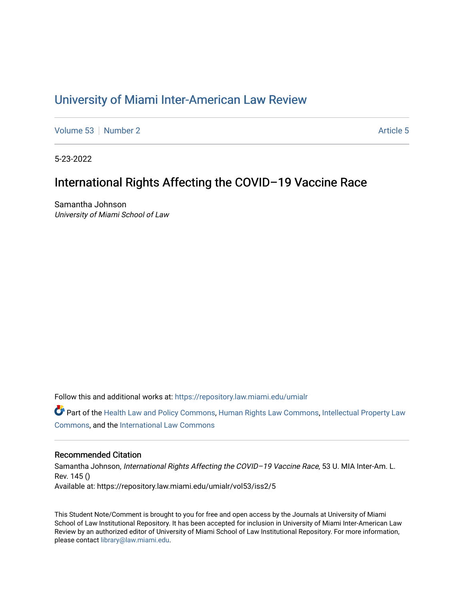# [University of Miami Inter-American Law Review](https://repository.law.miami.edu/umialr)

[Volume 53](https://repository.law.miami.edu/umialr/vol53) [Number 2](https://repository.law.miami.edu/umialr/vol53/iss2) [Article 5](https://repository.law.miami.edu/umialr/vol53/iss2/5) Article 5

5-23-2022

# International Rights Affecting the COVID–19 Vaccine Race

Samantha Johnson University of Miami School of Law

Follow this and additional works at: [https://repository.law.miami.edu/umialr](https://repository.law.miami.edu/umialr?utm_source=repository.law.miami.edu%2Fumialr%2Fvol53%2Fiss2%2F5&utm_medium=PDF&utm_campaign=PDFCoverPages)

Part of the [Health Law and Policy Commons](https://network.bepress.com/hgg/discipline/901?utm_source=repository.law.miami.edu%2Fumialr%2Fvol53%2Fiss2%2F5&utm_medium=PDF&utm_campaign=PDFCoverPages), [Human Rights Law Commons,](https://network.bepress.com/hgg/discipline/847?utm_source=repository.law.miami.edu%2Fumialr%2Fvol53%2Fiss2%2F5&utm_medium=PDF&utm_campaign=PDFCoverPages) [Intellectual Property Law](https://network.bepress.com/hgg/discipline/896?utm_source=repository.law.miami.edu%2Fumialr%2Fvol53%2Fiss2%2F5&utm_medium=PDF&utm_campaign=PDFCoverPages) [Commons](https://network.bepress.com/hgg/discipline/896?utm_source=repository.law.miami.edu%2Fumialr%2Fvol53%2Fiss2%2F5&utm_medium=PDF&utm_campaign=PDFCoverPages), and the [International Law Commons](https://network.bepress.com/hgg/discipline/609?utm_source=repository.law.miami.edu%2Fumialr%2Fvol53%2Fiss2%2F5&utm_medium=PDF&utm_campaign=PDFCoverPages) 

## Recommended Citation

Samantha Johnson, International Rights Affecting the COVID-19 Vaccine Race, 53 U. MIA Inter-Am. L. Rev. 145 () Available at: https://repository.law.miami.edu/umialr/vol53/iss2/5

This Student Note/Comment is brought to you for free and open access by the Journals at University of Miami School of Law Institutional Repository. It has been accepted for inclusion in University of Miami Inter-American Law Review by an authorized editor of University of Miami School of Law Institutional Repository. For more information, please contact [library@law.miami.edu.](mailto:library@law.miami.edu)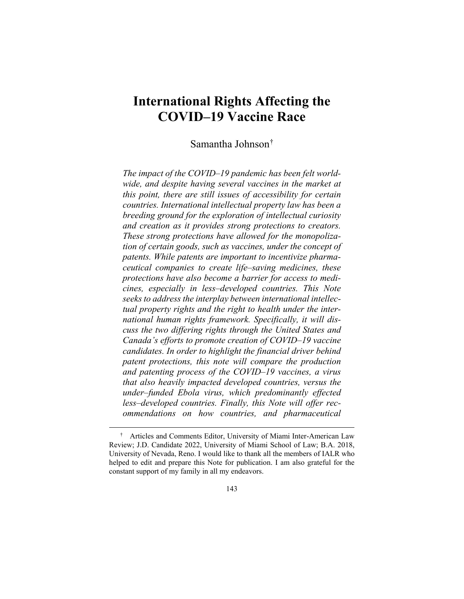# **International Rights Affecting the COVID–19 Vaccine Race**

Samantha Johnson[†](#page-1-0)

*The impact of the COVID–19 pandemic has been felt worldwide, and despite having several vaccines in the market at this point, there are still issues of accessibility for certain countries. International intellectual property law has been a breeding ground for the exploration of intellectual curiosity and creation as it provides strong protections to creators. These strong protections have allowed for the monopolization of certain goods, such as vaccines, under the concept of patents. While patents are important to incentivize pharmaceutical companies to create life–saving medicines, these protections have also become a barrier for access to medicines, especially in less–developed countries. This Note seeks to address the interplay between international intellectual property rights and the right to health under the international human rights framework. Specifically, it will discuss the two differing rights through the United States and Canada's efforts to promote creation of COVID–19 vaccine candidates. In order to highlight the financial driver behind patent protections, this note will compare the production and patenting process of the COVID–19 vaccines, a virus that also heavily impacted developed countries, versus the under–funded Ebola virus, which predominantly effected less–developed countries. Finally, this Note will offer recommendations on how countries, and pharmaceutical* 

<span id="page-1-0"></span> <sup>†</sup> Articles and Comments Editor, University of Miami Inter-American Law Review; J.D. Candidate 2022, University of Miami School of Law; B.A. 2018, University of Nevada, Reno. I would like to thank all the members of IALR who helped to edit and prepare this Note for publication. I am also grateful for the constant support of my family in all my endeavors.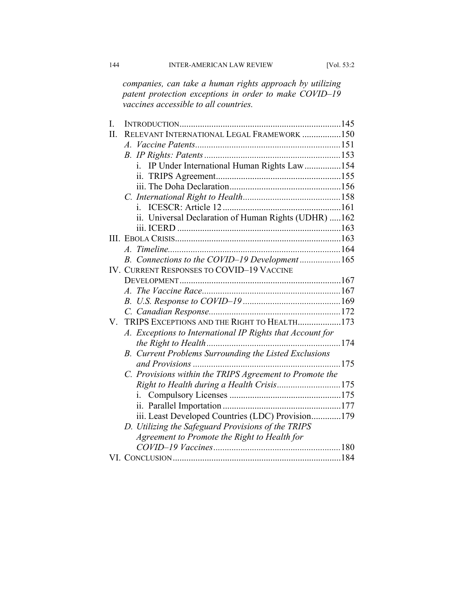*companies, can take a human rights approach by utilizing patent protection exceptions in order to make COVID–19 vaccines accessible to all countries.*

| I.  |                                                           |  |
|-----|-----------------------------------------------------------|--|
| II. | RELEVANT INTERNATIONAL LEGAL FRAMEWORK 150                |  |
|     | $A_{\cdot}$                                               |  |
|     |                                                           |  |
|     | i. IP Under International Human Rights Law154             |  |
|     |                                                           |  |
|     |                                                           |  |
|     |                                                           |  |
|     | $i_{-}$                                                   |  |
|     | ii. Universal Declaration of Human Rights (UDHR) 162      |  |
|     |                                                           |  |
|     |                                                           |  |
|     |                                                           |  |
|     | B. Connections to the COVID-19 Development165             |  |
|     | <b>IV. CURRENT RESPONSES TO COVID-19 VACCINE</b>          |  |
|     |                                                           |  |
|     |                                                           |  |
|     |                                                           |  |
|     |                                                           |  |
| V.  | TRIPS EXCEPTIONS AND THE RIGHT TO HEALTH173               |  |
|     | A. Exceptions to International IP Rights that Account for |  |
|     |                                                           |  |
|     | B. Current Problems Surrounding the Listed Exclusions     |  |
|     |                                                           |  |
|     | C. Provisions within the TRIPS Agreement to Promote the   |  |
|     | Right to Health during a Health Crisis175                 |  |
|     |                                                           |  |
|     |                                                           |  |
|     | iii. Least Developed Countries (LDC) Provision179         |  |
|     | D. Utilizing the Safeguard Provisions of the TRIPS        |  |
|     | Agreement to Promote the Right to Health for              |  |
|     |                                                           |  |
|     |                                                           |  |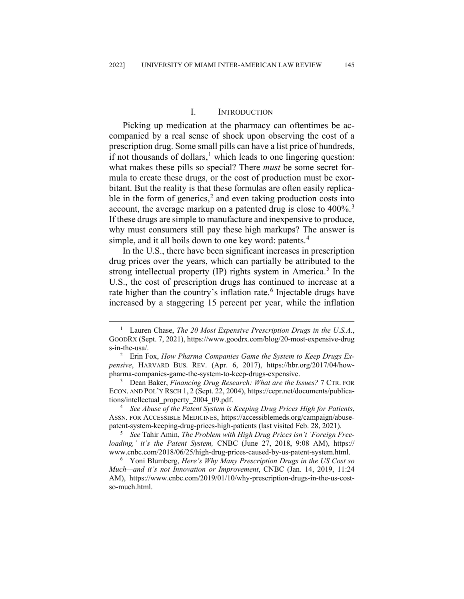## I. INTRODUCTION

Picking up medication at the pharmacy can oftentimes be accompanied by a real sense of shock upon observing the cost of a prescription drug. Some small pills can have a list price of hundreds, if not thousands of dollars,<sup>[1](#page-3-0)</sup> which leads to one lingering question: what makes these pills so special? There *must* be some secret formula to create these drugs, or the cost of production must be exorbitant. But the reality is that these formulas are often easily replica-ble in the form of generics,<sup>[2](#page-3-1)</sup> and even taking production costs into account, the average markup on a patented drug is close to 400%.<sup>[3](#page-3-2)</sup> If these drugs are simple to manufacture and inexpensive to produce, why must consumers still pay these high markups? The answer is simple, and it all boils down to one key word: patents.<sup>[4](#page-3-3)</sup>

In the U.S., there have been significant increases in prescription drug prices over the years, which can partially be attributed to the strong intellectual property (IP) rights system in America.<sup>[5](#page-3-4)</sup> In the U.S., the cost of prescription drugs has continued to increase at a rate higher than the country's inflation rate.<sup>[6](#page-3-5)</sup> Injectable drugs have increased by a staggering 15 percent per year, while the inflation

<span id="page-3-3"></span><sup>4</sup> *See Abuse of the Patent System is Keeping Drug Prices High for Patients*, ASSN. FOR ACCESSIBLE MEDICINES, https://accessiblemeds.org/campaign/abusepatent-system-keeping-drug-prices-high-patients (last visited Feb. 28, 2021).

<span id="page-3-4"></span><sup>5</sup> *See* Tahir Amin, *The Problem with High Drug Prices isn't 'Foreign Freeloading,' it's the Patent System,* CNBC (June 27, 2018, 9:08 AM), https:// www.cnbc.com/2018/06/25/high-drug-prices-caused-by-us-patent-system.html.

<span id="page-3-5"></span><sup>6</sup> Yoni Blumberg, *Here's Why Many Prescription Drugs in the US Cost so Much—and it's not Innovation or Improvement*, CNBC (Jan. 14, 2019, 11:24 AM), https://www.cnbc.com/2019/01/10/why-prescription-drugs-in-the-us-costso-much.html.

<span id="page-3-0"></span> <sup>1</sup> Lauren Chase, *The 20 Most Expensive Prescription Drugs in the U.S.A*., GOODRX (Sept. 7, 2021), https://www.goodrx.com/blog/20-most-expensive-drug s-in-the-usa/.

<span id="page-3-1"></span><sup>2</sup> Erin Fox, *How Pharma Companies Game the System to Keep Drugs Expensive*, HARVARD BUS. REV. (Apr. 6, 2017), https://hbr.org/2017/04/howpharma-companies-game-the-system-to-keep-drugs-expensive.

<span id="page-3-2"></span><sup>3</sup> Dean Baker, *Financing Drug Research: What are the Issues?* 7 CTR. FOR ECON. AND POL'Y RSCH 1, 2 (Sept. 22, 2004), https://cepr.net/documents/publications/intellectual\_property\_2004\_09.pdf.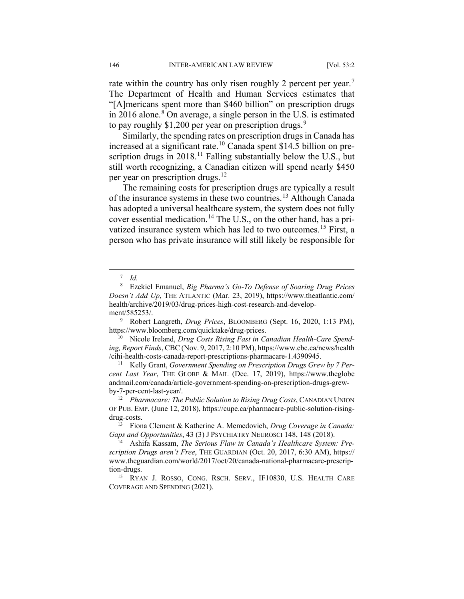rate within the country has only risen roughly 2 percent per year.<sup>[7](#page-4-0)</sup> The Department of Health and Human Services estimates that "[A]mericans spent more than \$460 billion" on prescription drugs in 2016 alone.<sup>[8](#page-4-1)</sup> On average, a single person in the U.S. is estimated to pay roughly  $$1,200$  per year on prescription drugs.<sup>[9](#page-4-2)</sup>

Similarly, the spending rates on prescription drugs in Canada has increased at a significant rate.[10](#page-4-3) Canada spent \$14.5 billion on prescription drugs in  $2018$ .<sup>[11](#page-4-4)</sup> Falling substantially below the U.S., but still worth recognizing, a Canadian citizen will spend nearly \$450 per year on prescription drugs.<sup>[12](#page-4-5)</sup>

The remaining costs for prescription drugs are typically a result of the insurance systems in these two countries.<sup>[13](#page-4-6)</sup> Although Canada has adopted a universal healthcare system, the system does not fully cover essential medication.<sup>[14](#page-4-7)</sup> The U.S., on the other hand, has a pri-vatized insurance system which has led to two outcomes.<sup>[15](#page-4-8)</sup> First, a person who has private insurance will still likely be responsible for

 <sup>7</sup> *Id.*

<span id="page-4-1"></span><span id="page-4-0"></span><sup>8</sup> Ezekiel Emanuel, *Big Pharma's Go-To Defense of Soaring Drug Prices Doesn't Add Up*, THE ATLANTIC (Mar. 23, 2019), https://www.theatlantic.com/ health/archive/2019/03/drug-prices-high-cost-research-and-development/585253/.

<span id="page-4-2"></span><sup>9</sup> Robert Langreth, *Drug Prices*, BLOOMBERG (Sept. 16, 2020, 1:13 PM), https://www.bloomberg.com/quicktake/drug-prices.

<span id="page-4-3"></span><sup>10</sup> Nicole Ireland, *Drug Costs Rising Fast in Canadian Health-Care Spending, Report Finds*, CBC (Nov. 9, 2017, 2:10 PM), https://www.cbc.ca/news/health /cihi-health-costs-canada-report-prescriptions-pharmacare-1.4390945.

<span id="page-4-4"></span><sup>11</sup> Kelly Grant, *Government Spending on Prescription Drugs Grew by 7 Percent Last Year*, THE GLOBE & MAIL (Dec. 17, 2019), https://www.theglobe andmail.com/canada/article-government-spending-on-prescription-drugs-grewby-7-per-cent-last-year/.

<span id="page-4-5"></span><sup>&</sup>lt;sup>12</sup> *Pharmacare: The Public Solution to Rising Drug Costs*, CANADIAN UNION OF PUB. EMP. (June 12, 2018), https://cupe.ca/pharmacare-public-solution-risingdrug-costs.

<span id="page-4-6"></span><sup>13</sup> Fiona Clement & Katherine A. Memedovich, *Drug Coverage in Canada: Gaps and Opportunities*, 43 (3) J PSYCHIATRY NEUROSCI 148, 148 (2018).

<span id="page-4-7"></span><sup>14</sup> Ashifa Kassam, *The Serious Flaw in Canada's Healthcare System: Prescription Drugs aren't Free*, THE GUARDIAN (Oct. 20, 2017, 6:30 AM), https:// www.theguardian.com/world/2017/oct/20/canada-national-pharmacare-prescription-drugs.

<span id="page-4-8"></span><sup>15</sup> RYAN J. ROSSO, CONG. RSCH. SERV., IF10830, U.S. HEALTH CARE COVERAGE AND SPENDING (2021).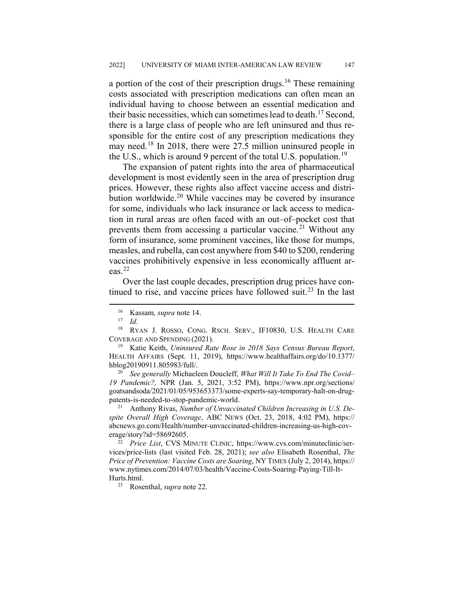a portion of the cost of their prescription drugs.<sup>[16](#page-5-0)</sup> These remaining costs associated with prescription medications can often mean an individual having to choose between an essential medication and their basic necessities, which can sometimes lead to death.<sup>[17](#page-5-1)</sup> Second, there is a large class of people who are left uninsured and thus responsible for the entire cost of any prescription medications they may need.<sup>[18](#page-5-2)</sup> In 2018, there were 27.5 million uninsured people in the U.S., which is around 9 percent of the total U.S. population.<sup>[19](#page-5-3)</sup>

The expansion of patent rights into the area of pharmaceutical development is most evidently seen in the area of prescription drug prices. However, these rights also affect vaccine access and distribution worldwide. $20$  While vaccines may be covered by insurance for some, individuals who lack insurance or lack access to medication in rural areas are often faced with an out–of–pocket cost that prevents them from accessing a particular vaccine.<sup>[21](#page-5-5)</sup> Without any form of insurance, some prominent vaccines, like those for mumps, measles, and rubella, can cost anywhere from \$40 to \$200, rendering vaccines prohibitively expensive in less economically affluent areas. $^{22}$  $^{22}$  $^{22}$ 

Over the last couple decades, prescription drug prices have con-tinued to rise, and vaccine prices have followed suit.<sup>[23](#page-5-7)</sup> In the last

<span id="page-5-3"></span><sup>19</sup> Katie Keith, *Uninsured Rate Rose in 2018 Says Census Bureau Report*, HEALTH AFFAIRS (Sept. 11, 2019), https://www.healthaffairs.org/do/10.1377/ hblog20190911.805983/full/.

<span id="page-5-4"></span><sup>20</sup> *See generally* Michaeleen Doucleff, *What Will It Take To End The Covid– 19 Pandemic?,* NPR (Jan. 5, 2021, 3:52 PM), https://www.npr.org/sections/ goatsandsoda/2021/01/05/953653373/some-experts-say-temporary-halt-on-drugpatents-is-needed-to-stop-pandemic-world.

<span id="page-5-5"></span><sup>21</sup> Anthony Rivas, *Number of Unvaccinated Children Increasing in U.S. Despite Overall High Coverage*, ABC NEWS (Oct. 23, 2018, 4:02 PM), https:// abcnews.go.com/Health/number-unvaccinated-children-increasing-us-high-coverage/story?id=58692605.

<span id="page-5-7"></span><span id="page-5-6"></span><sup>22</sup> *Price List*, CVS MINUTE CLINIC, https://www.cvs.com/minuteclinic/services/price-lists (last visited Feb. 28, 2021); *see also* Elisabeth Rosenthal, *The Price of Prevention: Vaccine Costs are Soaring*, NY TIMES (July 2, 2014), https:// www.nytimes.com/2014/07/03/health/Vaccine-Costs-Soaring-Paying-Till-It-Hurts.html.

<sup>23</sup> Rosenthal, *supra* note 22.

 <sup>16</sup> Kassam*, supra* note 14.

 $\frac{17}{18}$  *Id.* 

<span id="page-5-2"></span><span id="page-5-1"></span><span id="page-5-0"></span>RYAN J. ROSSO, CONG. RSCH. SERV., IF10830, U.S. HEALTH CARE COVERAGE AND SPENDING (2021).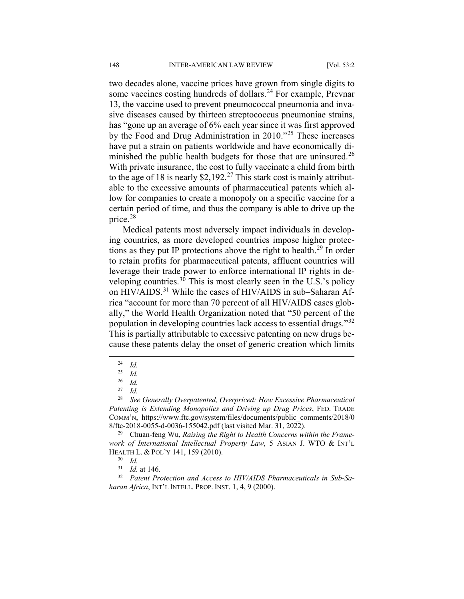two decades alone, vaccine prices have grown from single digits to some vaccines costing hundreds of dollars.<sup>[24](#page-6-0)</sup> For example, Prevnar 13, the vaccine used to prevent pneumococcal pneumonia and invasive diseases caused by thirteen streptococcus pneumoniae strains, has "gone up an average of 6% each year since it was first approved by the Food and Drug Administration in 2010."[25](#page-6-1) These increases have put a strain on patients worldwide and have economically di-minished the public health budgets for those that are uninsured.<sup>[26](#page-6-2)</sup> With private insurance, the cost to fully vaccinate a child from birth to the age of 18 is nearly \$2,192.<sup>[27](#page-6-3)</sup> This stark cost is mainly attributable to the excessive amounts of pharmaceutical patents which allow for companies to create a monopoly on a specific vaccine for a certain period of time, and thus the company is able to drive up the price.[28](#page-6-4)

Medical patents most adversely impact individuals in developing countries, as more developed countries impose higher protections as they put IP protections above the right to health.[29](#page-6-5) In order to retain profits for pharmaceutical patents, affluent countries will leverage their trade power to enforce international IP rights in de-veloping countries.<sup>[30](#page-6-6)</sup> This is most clearly seen in the U.S.'s policy on HIV/AIDS.<sup>[31](#page-6-7)</sup> While the cases of HIV/AIDS in sub–Saharan Africa "account for more than 70 percent of all HIV/AIDS cases globally," the World Health Organization noted that "50 percent of the population in developing countries lack access to essential drugs."[32](#page-6-8) This is partially attributable to excessive patenting on new drugs because these patents delay the onset of generic creation which limits

 $\frac{24}{25}$  *Id.* 

 $rac{25}{26}$  *Id.* 

 $rac{26}{27}$  *Id.* 

 $rac{27}{28}$  *Id.* 

<span id="page-6-4"></span><span id="page-6-3"></span><span id="page-6-2"></span><span id="page-6-1"></span><span id="page-6-0"></span><sup>28</sup> *See Generally Overpatented, Overpriced: How Excessive Pharmaceutical Patenting is Extending Monopolies and Driving up Drug Prices*, FED. TRADE COMM'N, https://www.ftc.gov/system/files/documents/public\_comments/2018/0 8/ftc-2018-0055-d-0036-155042.pdf (last visited Mar. 31, 2022).

<span id="page-6-5"></span><sup>29</sup> Chuan-feng Wu, *Raising the Right to Health Concerns within the Framework of International Intellectual Property Law*, 5 ASIAN J. WTO & INT'L HEALTH L. & POL'Y 141, 159 (2010).

 $\frac{30}{31}$  *Id.* 

<sup>31</sup> *Id.* at 146.

<span id="page-6-8"></span><span id="page-6-7"></span><span id="page-6-6"></span><sup>32</sup> *Patent Protection and Access to HIV/AIDS Pharmaceuticals in Sub-Saharan Africa*, INT'L INTELL. PROP. INST. 1, 4, 9 (2000).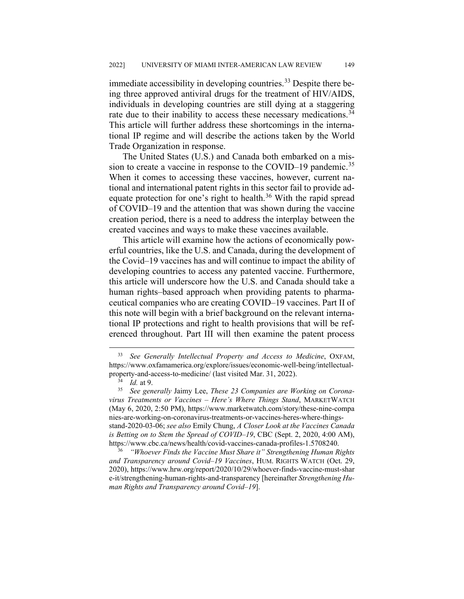immediate accessibility in developing countries.<sup>[33](#page-7-0)</sup> Despite there being three approved antiviral drugs for the treatment of HIV/AIDS, individuals in developing countries are still dying at a staggering rate due to their inability to access these necessary medications.<sup>[34](#page-7-1)</sup> This article will further address these shortcomings in the international IP regime and will describe the actions taken by the World Trade Organization in response.

The United States (U.S.) and Canada both embarked on a mis-sion to create a vaccine in response to the COVID–19 pandemic.<sup>[35](#page-7-2)</sup> When it comes to accessing these vaccines, however, current national and international patent rights in this sector fail to provide ad-equate protection for one's right to health.<sup>[36](#page-7-3)</sup> With the rapid spread of COVID–19 and the attention that was shown during the vaccine creation period, there is a need to address the interplay between the created vaccines and ways to make these vaccines available.

This article will examine how the actions of economically powerful countries, like the U.S. and Canada, during the development of the Covid–19 vaccines has and will continue to impact the ability of developing countries to access any patented vaccine. Furthermore, this article will underscore how the U.S. and Canada should take a human rights–based approach when providing patents to pharmaceutical companies who are creating COVID–19 vaccines. Part II of this note will begin with a brief background on the relevant international IP protections and right to health provisions that will be referenced throughout. Part III will then examine the patent process

<span id="page-7-0"></span> <sup>33</sup> *See Generally Intellectual Property and Access to Medicine*, OXFAM, https://www.oxfamamerica.org/explore/issues/economic-well-being/intellectualproperty-and-access-to-medicine/ (last visited Mar. 31, 2022).

<sup>34</sup> *Id.* at 9.

<span id="page-7-2"></span><span id="page-7-1"></span><sup>35</sup> *See generally* Jaimy Lee, *These 23 Companies are Working on Coronavirus Treatments or Vaccines – Here's Where Things Stand*, MARKETWATCH (May 6, 2020, 2:50 PM), https://www.marketwatch.com/story/these-nine-compa nies-are-working-on-coronavirus-treatments-or-vaccines-heres-where-thingsstand-2020-03-06; *see also* Emily Chung, *A Closer Look at the Vaccines Canada is Betting on to Stem the Spread of COVID–19*, CBC (Sept. 2, 2020, 4:00 AM), https://www.cbc.ca/news/health/covid-vaccines-canada-profiles-1.5708240.

<span id="page-7-3"></span><sup>36</sup> *"Whoever Finds the Vaccine Must Share it" Strengthening Human Rights and Transparency around Covid–19 Vaccines*, HUM. RIGHTS WATCH (Oct. 29, 2020), https://www.hrw.org/report/2020/10/29/whoever-finds-vaccine-must-shar e-it/strengthening-human-rights-and-transparency [hereinafter *Strengthening Human Rights and Transparency around Covid–19*].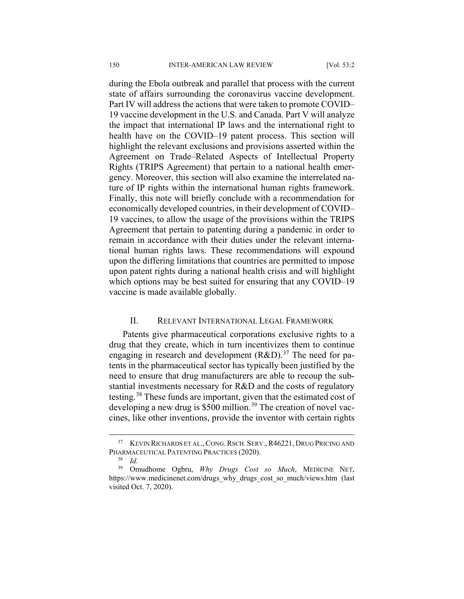during the Ebola outbreak and parallel that process with the current state of affairs surrounding the coronavirus vaccine development. Part IV will address the actions that were taken to promote COVID– 19 vaccine development in the U.S. and Canada. Part V will analyze the impact that international IP laws and the international right to health have on the COVID–19 patent process. This section will highlight the relevant exclusions and provisions asserted within the Agreement on Trade–Related Aspects of Intellectual Property Rights (TRIPS Agreement) that pertain to a national health emergency. Moreover, this section will also examine the interrelated nature of IP rights within the international human rights framework. Finally, this note will briefly conclude with a recommendation for economically developed countries, in their development of COVID– 19 vaccines, to allow the usage of the provisions within the TRIPS Agreement that pertain to patenting during a pandemic in order to remain in accordance with their duties under the relevant international human rights laws. These recommendations will expound upon the differing limitations that countries are permitted to impose upon patent rights during a national health crisis and will highlight which options may be best suited for ensuring that any COVID–19 vaccine is made available globally.

#### II. RELEVANT INTERNATIONAL LEGAL FRAMEWORK

Patents give pharmaceutical corporations exclusive rights to a drug that they create, which in turn incentivizes them to continue engaging in research and development  $(R&D)$ .<sup>[37](#page-8-0)</sup> The need for patents in the pharmaceutical sector has typically been justified by the need to ensure that drug manufacturers are able to recoup the substantial investments necessary for R&D and the costs of regulatory testing.[38](#page-8-1) These funds are important, given that the estimated cost of developing a new drug is \$500 million.<sup>[39](#page-8-2)</sup> The creation of novel vaccines, like other inventions, provide the inventor with certain rights

<span id="page-8-0"></span><sup>&</sup>lt;sup>37</sup> KEVIN RICHARDS ET AL., CONG. RSCH. SERV., R46221, DRUG PRICING AND PHARMACEUTICAL PATENTING PRACTICES (2020).

 $rac{38}{39}$  *Id.* 

<span id="page-8-2"></span><span id="page-8-1"></span><sup>39</sup> Omudhome Ogbru, *Why Drugs Cost so Much*, MEDICINE NET, https://www.medicinenet.com/drugs\_why\_drugs\_cost\_so\_much/views.htm (last visited Oct. 7, 2020).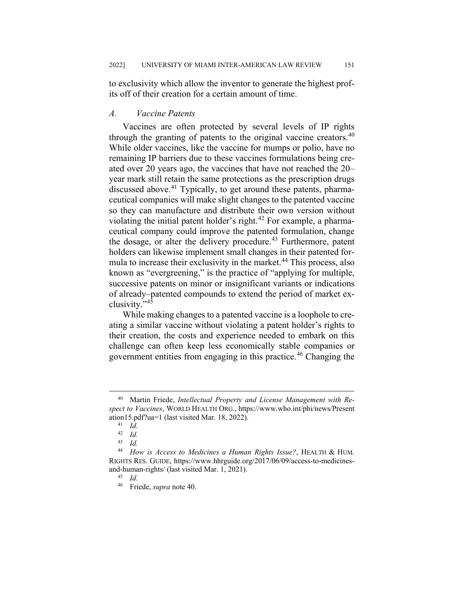to exclusivity which allow the inventor to generate the highest profits off of their creation for a certain amount of time.

## *A. Vaccine Patents*

Vaccines are often protected by several levels of IP rights through the granting of patents to the original vaccine creators. $40$ While older vaccines, like the vaccine for mumps or polio, have no remaining IP barriers due to these vaccines formulations being created over 20 years ago, the vaccines that have not reached the 20– year mark still retain the same protections as the prescription drugs discussed above.<sup>[41](#page-9-1)</sup> Typically, to get around these patents, pharmaceutical companies will make slight changes to the patented vaccine so they can manufacture and distribute their own version without violating the initial patent holder's right.<sup>[42](#page-9-2)</sup> For example, a pharmaceutical company could improve the patented formulation, change the dosage, or alter the delivery procedure.<sup>[43](#page-9-3)</sup> Furthermore, patent holders can likewise implement small changes in their patented for-mula to increase their exclusivity in the market.<sup>[44](#page-9-4)</sup> This process, also known as "evergreening," is the practice of "applying for multiple, successive patents on minor or insignificant variants or indications of already–patented compounds to extend the period of market exclusivity."[45](#page-9-5)

While making changes to a patented vaccine is a loophole to creating a similar vaccine without violating a patent holder's rights to their creation, the costs and experience needed to embark on this challenge can often keep less economically stable companies or government entities from engaging in this practice.<sup>[46](#page-9-6)</sup> Changing the

<span id="page-9-1"></span><span id="page-9-0"></span> <sup>40</sup> Martin Friede, *Intellectual Property and License Management with Respect to Vaccines*, WORLD HEALTH ORG., https://www.who.int/phi/news/Present ation15.pdf?ua=1 (last visited Mar. 18, 2022).

<sup>41</sup> *Id.*

 $\frac{42}{43}$  *Id.* <sup>43</sup> *Id.*

<span id="page-9-6"></span><span id="page-9-5"></span><span id="page-9-4"></span><span id="page-9-3"></span><span id="page-9-2"></span><sup>44</sup> *How is Access to Medicines a Human Rights Issue?*, HEALTH & HUM. RIGHTS RES. GUIDE, https://www.hhrguide.org/2017/06/09/access-to-medicinesand-human-rights/ (last visited Mar. 1, 2021).

<sup>45</sup> *Id.*

<sup>46</sup> Friede, *supra* note 40.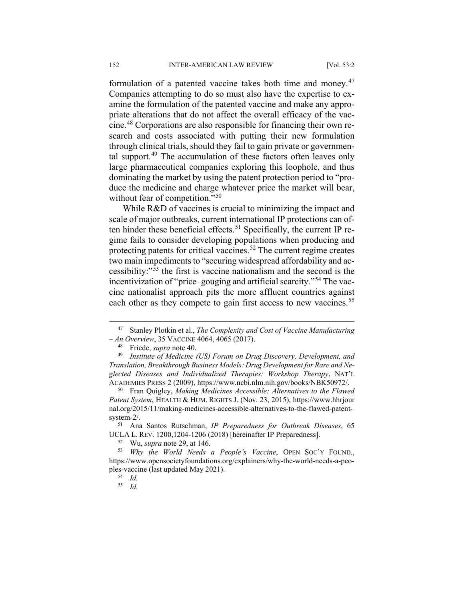formulation of a patented vaccine takes both time and money.<sup>[47](#page-10-0)</sup> Companies attempting to do so must also have the expertise to examine the formulation of the patented vaccine and make any appropriate alterations that do not affect the overall efficacy of the vaccine.[48](#page-10-1) Corporations are also responsible for financing their own research and costs associated with putting their new formulation through clinical trials, should they fail to gain private or governmental support.[49](#page-10-2) The accumulation of these factors often leaves only large pharmaceutical companies exploring this loophole, and thus dominating the market by using the patent protection period to "produce the medicine and charge whatever price the market will bear, without fear of competition."<sup>[50](#page-10-3)</sup>

While R&D of vaccines is crucial to minimizing the impact and scale of major outbreaks, current international IP protections can of-ten hinder these beneficial effects.<sup>[51](#page-10-4)</sup> Specifically, the current IP regime fails to consider developing populations when producing and protecting patents for critical vaccines.<sup>[52](#page-10-5)</sup> The current regime creates two main impediments to "securing widespread affordability and accessibility:"[53](#page-10-6) the first is vaccine nationalism and the second is the incentivization of "price–gouging and artificial scarcity."[54](#page-10-7) The vaccine nationalist approach pits the more affluent countries against each other as they compete to gain first access to new vaccines.<sup>[55](#page-10-8)</sup>

<sup>52</sup> Wu, *supra* note 29, at 146.

<span id="page-10-0"></span> <sup>47</sup> Stanley Plotkin et al., *The Complexity and Cost of Vaccine Manufacturing – An Overview*, 35 VACCINE 4064, 4065 (2017).

<sup>&</sup>lt;sup>48</sup> Friede, *supra* note 40.<br><sup>49</sup> *Institute of Medicine* 

<span id="page-10-2"></span><span id="page-10-1"></span><sup>49</sup> *Institute of Medicine (US) Forum on Drug Discovery, Development, and Translation, Breakthrough Business Models: Drug Development for Rare and Neglected Diseases and Individualized Therapies: Workshop Therapy*, NAT'L ACADEMIES PRESS 2 (2009), https://www.ncbi.nlm.nih.gov/books/NBK50972/.

<span id="page-10-3"></span><sup>50</sup> Fran Quigley, *Making Medicines Accessible: Alternatives to the Flawed Patent System*, HEALTH & HUM. RIGHTS J. (Nov. 23, 2015), https://www.hhrjour nal.org/2015/11/making-medicines-accessible-alternatives-to-the-flawed-patentsystem-2/.

<span id="page-10-4"></span><sup>51</sup> Ana Santos Rutschman, *IP Preparedness for Outbreak Diseases*, 65 UCLA L. REV. 1200,1204-1206 (2018) [hereinafter IP Preparedness].

<span id="page-10-8"></span><span id="page-10-7"></span><span id="page-10-6"></span><span id="page-10-5"></span><sup>53</sup> *Why the World Needs a People's Vaccine*, OPEN SOC'Y FOUND., https://www.opensocietyfoundations.org/explainers/why-the-world-needs-a-peoples-vaccine (last updated May 2021).

<sup>54</sup> *Id.*

<sup>55</sup> *Id.*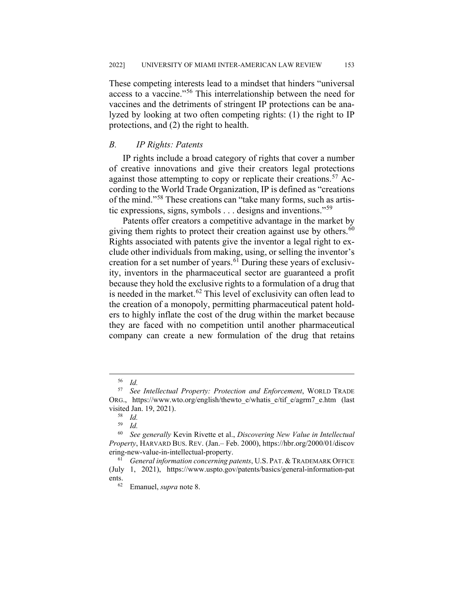These competing interests lead to a mindset that hinders "universal access to a vaccine."[56](#page-11-0) This interrelationship between the need for vaccines and the detriments of stringent IP protections can be analyzed by looking at two often competing rights: (1) the right to IP protections, and (2) the right to health.

## *B. IP Rights: Patents*

IP rights include a broad category of rights that cover a number of creative innovations and give their creators legal protections against those attempting to copy or replicate their creations.<sup>[57](#page-11-1)</sup> According to the World Trade Organization, IP is defined as "creations of the mind."[58](#page-11-2) These creations can "take many forms, such as artistic expressions, signs, symbols  $\dots$  designs and inventions."<sup>[59](#page-11-3)</sup>

Patents offer creators a competitive advantage in the market by giving them rights to protect their creation against use by others.<sup>[60](#page-11-4)</sup> Rights associated with patents give the inventor a legal right to exclude other individuals from making, using, or selling the inventor's creation for a set number of years. $6\overline{1}$  During these years of exclusivity, inventors in the pharmaceutical sector are guaranteed a profit because they hold the exclusive rights to a formulation of a drug that is needed in the market.<sup>[62](#page-11-6)</sup> This level of exclusivity can often lead to the creation of a monopoly, permitting pharmaceutical patent holders to highly inflate the cost of the drug within the market because they are faced with no competition until another pharmaceutical company can create a new formulation of the drug that retains

 $rac{56}{57}$  *Id.* 

<span id="page-11-1"></span><span id="page-11-0"></span><sup>57</sup> *See Intellectual Property: Protection and Enforcement*, WORLD TRADE ORG., https://www.wto.org/english/thewto\_e/whatis\_e/tif\_e/agrm7\_e.htm (last visited Jan. 19, 2021).

<sup>58</sup> *Id.*

<sup>59</sup> *Id.*

<span id="page-11-4"></span><span id="page-11-3"></span><span id="page-11-2"></span><sup>60</sup> *See generally* Kevin Rivette et al., *Discovering New Value in Intellectual Property*, HARVARD BUS. REV. (Jan.– Feb. 2000), https://hbr.org/2000/01/discov ering-new-value-in-intellectual-property.

<span id="page-11-6"></span><span id="page-11-5"></span><sup>61</sup> *General information concerning patents*, U.S. PAT. & TRADEMARK OFFICE (July 1, 2021), https://www.uspto.gov/patents/basics/general-information-pat ents.<br> $62$ 

<sup>62</sup> Emanuel, *supra* note 8.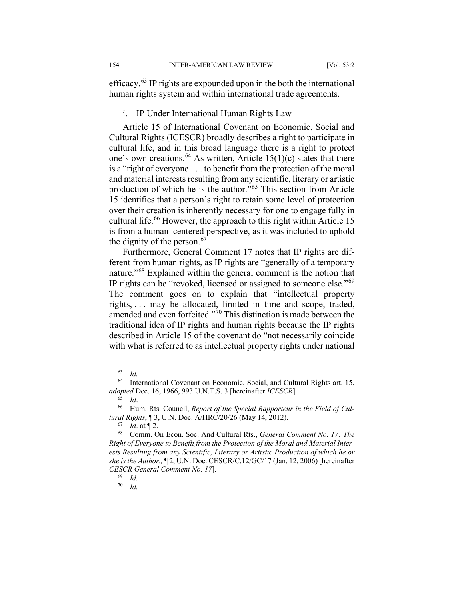efficacy.[63](#page-12-0) IP rights are expounded upon in the both the international human rights system and within international trade agreements.

#### i. IP Under International Human Rights Law

Article 15 of International Covenant on Economic, Social and Cultural Rights (ICESCR) broadly describes a right to participate in cultural life, and in this broad language there is a right to protect one's own creations.<sup>[64](#page-12-1)</sup> As written, Article 15(1)(c) states that there is a "right of everyone . . . to benefit from the protection of the moral and material interests resulting from any scientific, literary or artistic production of which he is the author."[65](#page-12-2) This section from Article 15 identifies that a person's right to retain some level of protection over their creation is inherently necessary for one to engage fully in cultural life.<sup>[66](#page-12-3)</sup> However, the approach to this right within Article 15 is from a human–centered perspective, as it was included to uphold the dignity of the person.<sup>[67](#page-12-4)</sup>

Furthermore, General Comment 17 notes that IP rights are different from human rights, as IP rights are "generally of a temporary nature."[68](#page-12-5) Explained within the general comment is the notion that IP rights can be "revoked, licensed or assigned to someone else."[69](#page-12-6) The comment goes on to explain that "intellectual property rights, . . . may be allocated, limited in time and scope, traded, amended and even forfeited."[70](#page-12-7) This distinction is made between the traditional idea of IP rights and human rights because the IP rights described in Article 15 of the covenant do "not necessarily coincide with what is referred to as intellectual property rights under national

<span id="page-12-7"></span><sup>70</sup> *Id.*

 <sup>63</sup> *Id.*

<span id="page-12-1"></span><span id="page-12-0"></span><sup>64</sup> International Covenant on Economic, Social, and Cultural Rights art. 15, *adopted* Dec. 16, 1966, 993 U.N.T.S. 3 [hereinafter *ICESCR*].

<sup>65</sup> *Id*.

<span id="page-12-3"></span><span id="page-12-2"></span><sup>66</sup> Hum. Rts. Council, *Report of the Special Rapporteur in the Field of Cultural Rights*, ¶ 3, U.N. Doc. A/HRC/20/26 (May 14, 2012).

 $\frac{67}{68}$  *Id.* at 12.

<span id="page-12-6"></span><span id="page-12-5"></span><span id="page-12-4"></span><sup>68</sup> Comm. On Econ. Soc. And Cultural Rts., *General Comment No. 17: The Right of Everyone to Benefit from the Protection of the Moral and Material Interests Resulting from any Scientific, Literary or Artistic Production of which he or she is the Author.,* ¶ 2, U.N. Doc. CESCR/C.12/GC/17 (Jan. 12, 2006) [hereinafter *CESCR General Comment No. 17*].

<sup>69</sup> *Id.*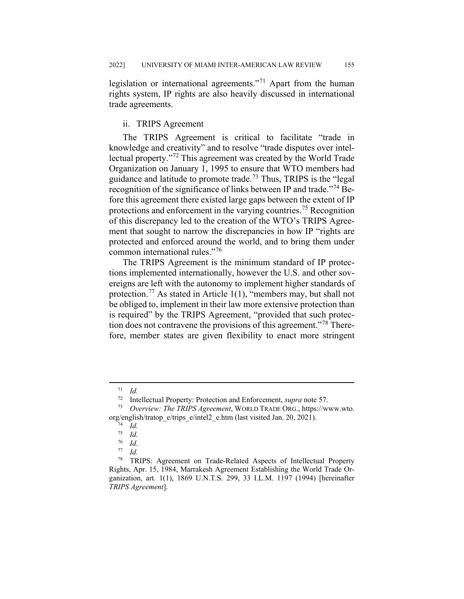legislation or international agreements."[71](#page-13-0) Apart from the human rights system, IP rights are also heavily discussed in international trade agreements.

## ii. TRIPS Agreement

The TRIPS Agreement is critical to facilitate "trade in knowledge and creativity" and to resolve "trade disputes over intellectual property."[72](#page-13-1) This agreement was created by the World Trade Organization on January 1, 1995 to ensure that WTO members had guidance and latitude to promote trade.<sup>[73](#page-13-2)</sup> Thus, TRIPS is the "legal" recognition of the significance of links between IP and trade."[74](#page-13-3) Before this agreement there existed large gaps between the extent of IP protections and enforcement in the varying countries.<sup>[75](#page-13-4)</sup> Recognition of this discrepancy led to the creation of the WTO's TRIPS Agreement that sought to narrow the discrepancies in how IP "rights are protected and enforced around the world, and to bring them under common international rules."[76](#page-13-5)

The TRIPS Agreement is the minimum standard of IP protections implemented internationally, however the U.S. and other sovereigns are left with the autonomy to implement higher standards of protection.<sup>[77](#page-13-6)</sup> As stated in Article 1(1), "members may, but shall not be obliged to, implement in their law more extensive protection than is required" by the TRIPS Agreement, "provided that such protec-tion does not contravene the provisions of this agreement."<sup>[78](#page-13-7)</sup> Therefore, member states are given flexibility to enact more stringent

 $\frac{71}{72}$  *Id.* 

<sup>72</sup> Intellectual Property: Protection and Enforcement, *supra* note 57.

<span id="page-13-3"></span><span id="page-13-2"></span><span id="page-13-1"></span><span id="page-13-0"></span><sup>73</sup> *Overview: The TRIPS Agreement*, WORLD TRADE ORG., https://www.wto. org/english/tratop\_e/trips\_e/intel2\_e.htm (last visited Jan. 20, 2021).

<sup>74</sup> *Id.*

 $\frac{75}{76}$  *Id.* 

<sup>76</sup> *Id. Id.* 

<span id="page-13-7"></span><span id="page-13-6"></span><span id="page-13-5"></span><span id="page-13-4"></span><sup>78</sup> TRIPS: Agreement on Trade-Related Aspects of Intellectual Property Rights, Apr. 15, 1984, Marrakesh Agreement Establishing the World Trade Organization, art. 1(1), 1869 U.N.T.S. 299, 33 I.L.M. 1197 (1994) [hereinafter *TRIPS Agreement*].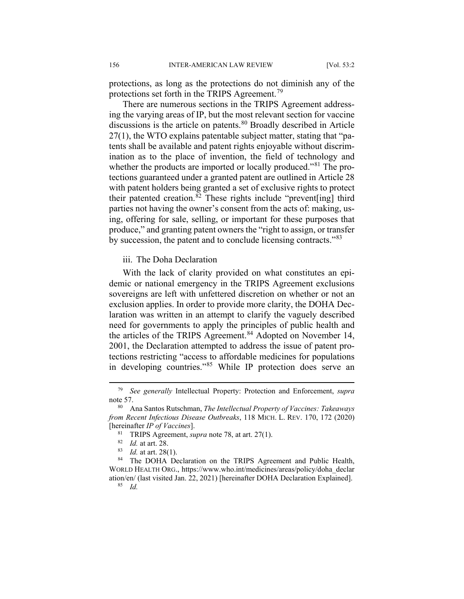protections, as long as the protections do not diminish any of the protections set forth in the TRIPS Agreement.<sup>[79](#page-14-0)</sup>

There are numerous sections in the TRIPS Agreement addressing the varying areas of IP, but the most relevant section for vaccine discussions is the article on patents. $80$  Broadly described in Article 27(1), the WTO explains patentable subject matter, stating that "patents shall be available and patent rights enjoyable without discrimination as to the place of invention, the field of technology and whether the products are imported or locally produced."<sup>[81](#page-14-2)</sup> The protections guaranteed under a granted patent are outlined in Article 28 with patent holders being granted a set of exclusive rights to protect their patented creation.<sup>[82](#page-14-3)</sup> These rights include "prevent[ing] third parties not having the owner's consent from the acts of: making, using, offering for sale, selling, or important for these purposes that produce," and granting patent owners the "right to assign, or transfer by succession, the patent and to conclude licensing contracts."<sup>[83](#page-14-4)</sup>

iii. The Doha Declaration

With the lack of clarity provided on what constitutes an epidemic or national emergency in the TRIPS Agreement exclusions sovereigns are left with unfettered discretion on whether or not an exclusion applies. In order to provide more clarity, the DOHA Declaration was written in an attempt to clarify the vaguely described need for governments to apply the principles of public health and the articles of the TRIPS Agreement.<sup>[84](#page-14-5)</sup> Adopted on November 14, 2001, the Declaration attempted to address the issue of patent protections restricting "access to affordable medicines for populations in developing countries."<sup>[85](#page-14-6)</sup> While IP protection does serve an

<span id="page-14-0"></span> <sup>79</sup> *See generally* Intellectual Property: Protection and Enforcement, *supra* note 57.

<span id="page-14-2"></span><span id="page-14-1"></span><sup>80</sup> Ana Santos Rutschman, *The Intellectual Property of Vaccines: Takeaways from Recent Infectious Disease Outbreaks*, 118 MICH. L. REV. 170, 172 (2020) [hereinafter *IP of Vaccines*].

<sup>&</sup>lt;sup>81</sup> TRIPS Agreement, *supra* note 78, at art. 27(1).

 $\frac{82}{83}$  *Id.* at art. 28.

*Id.* at art. 28(1).

<span id="page-14-6"></span><span id="page-14-5"></span><span id="page-14-4"></span><span id="page-14-3"></span><sup>&</sup>lt;sup>84</sup> The DOHA Declaration on the TRIPS Agreement and Public Health, WORLD HEALTH ORG., https://www.who.int/medicines/areas/policy/doha\_declar ation/en/ (last visited Jan. 22, 2021) [hereinafter DOHA Declaration Explained].

<sup>85</sup> *Id.*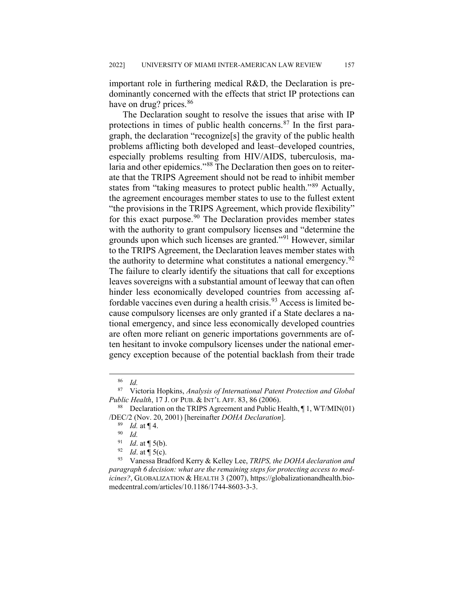important role in furthering medical R&D, the Declaration is predominantly concerned with the effects that strict IP protections can have on drug? prices.<sup>[86](#page-15-0)</sup>

The Declaration sought to resolve the issues that arise with IP protections in times of public health concerns.<sup>[87](#page-15-1)</sup> In the first paragraph, the declaration "recognize[s] the gravity of the public health problems afflicting both developed and least–developed countries, especially problems resulting from HIV/AIDS, tuberculosis, malaria and other epidemics."[88](#page-15-2) The Declaration then goes on to reiterate that the TRIPS Agreement should not be read to inhibit member states from "taking measures to protect public health."[89](#page-15-3) Actually, the agreement encourages member states to use to the fullest extent "the provisions in the TRIPS Agreement, which provide flexibility" for this exact purpose. $90$  The Declaration provides member states with the authority to grant compulsory licenses and "determine the grounds upon which such licenses are granted."<sup>[91](#page-15-5)</sup> However, similar to the TRIPS Agreement, the Declaration leaves member states with the authority to determine what constitutes a national emergency.<sup>[92](#page-15-6)</sup> The failure to clearly identify the situations that call for exceptions leaves sovereigns with a substantial amount of leeway that can often hinder less economically developed countries from accessing af-fordable vaccines even during a health crisis.<sup>[93](#page-15-7)</sup> Access is limited because compulsory licenses are only granted if a State declares a national emergency, and since less economically developed countries are often more reliant on generic importations governments are often hesitant to invoke compulsory licenses under the national emergency exception because of the potential backlash from their trade

 $rac{86}{87}$  *Id.* 

<span id="page-15-1"></span><span id="page-15-0"></span><sup>87</sup> Victoria Hopkins, *Analysis of International Patent Protection and Global Public Health*, 17 J. OF PUB. & INT'L AFF. 83, 86 (2006).

<span id="page-15-4"></span><span id="page-15-3"></span><span id="page-15-2"></span><sup>&</sup>lt;sup>88</sup> Declaration on the TRIPS Agreement and Public Health,  $\P$  1, WT/MIN(01) /DEC/2 (Nov. 20, 2001) [hereinafter *DOHA Declaration*].

<sup>89</sup> *Id.* at ¶ 4.

<sup>90</sup> *Id.*

<sup>&</sup>lt;sup>91</sup> *Id.* at  $\P$  5(b).<br><sup>92</sup> *Id.* at  $\P$  5(c)

*Id.* at  $\P$  5(c).

<span id="page-15-7"></span><span id="page-15-6"></span><span id="page-15-5"></span><sup>93</sup> Vanessa Bradford Kerry & Kelley Lee, *TRIPS, the DOHA declaration and paragraph 6 decision: what are the remaining steps for protecting access to medicines?*, GLOBALIZATION & HEALTH 3 (2007), https://globalizationandhealth.biomedcentral.com/articles/10.1186/1744-8603-3-3.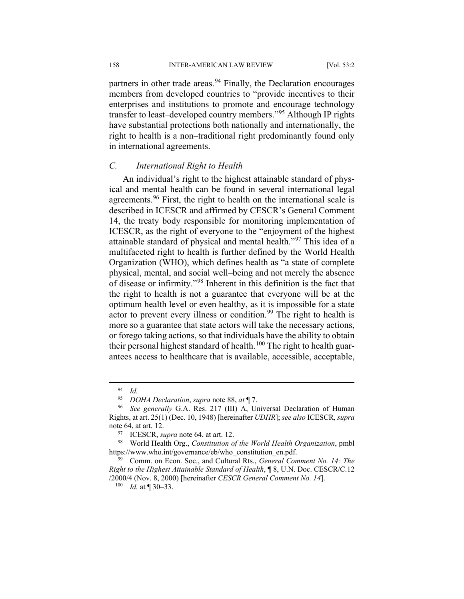158 INTER-AMERICAN LAW REVIEW [Vol. 53:2

partners in other trade areas.<sup>[94](#page-16-0)</sup> Finally, the Declaration encourages members from developed countries to "provide incentives to their enterprises and institutions to promote and encourage technology transfer to least–developed country members."[95](#page-16-1) Although IP rights have substantial protections both nationally and internationally, the right to health is a non–traditional right predominantly found only in international agreements.

#### *C. International Right to Health*

An individual's right to the highest attainable standard of physical and mental health can be found in several international legal agreements.<sup>[96](#page-16-2)</sup> First, the right to health on the international scale is described in ICESCR and affirmed by CESCR's General Comment 14, the treaty body responsible for monitoring implementation of ICESCR, as the right of everyone to the "enjoyment of the highest attainable standard of physical and mental health."<sup>[97](#page-16-3)</sup> This idea of a multifaceted right to health is further defined by the World Health Organization (WHO), which defines health as "a state of complete physical, mental, and social well–being and not merely the absence of disease or infirmity."[98](#page-16-4) Inherent in this definition is the fact that the right to health is not a guarantee that everyone will be at the optimum health level or even healthy, as it is impossible for a state actor to prevent every illness or condition.<sup>[99](#page-16-5)</sup> The right to health is more so a guarantee that state actors will take the necessary actions, or forego taking actions, so that individuals have the ability to obtain their personal highest standard of health.<sup>[100](#page-16-6)</sup> The right to health guarantees access to healthcare that is available, accessible, acceptable,

 $\frac{94}{95}$  *Id.* 

<sup>95</sup> *DOHA Declaration*, *supra* note 88, *at* ¶ 7.

<span id="page-16-2"></span><span id="page-16-1"></span><span id="page-16-0"></span>See generally G.A. Res. 217 (III) A, Universal Declaration of Human Rights, at art. 25(1) (Dec. 10, 1948) [hereinafter *UDHR*]; *see also* ICESCR, *supra* note 64, at art. 12.

<sup>97</sup> ICESCR, *supra* note 64, at art. 12.

<span id="page-16-4"></span><span id="page-16-3"></span><sup>98</sup> World Health Org., *Constitution of the World Health Organization*, pmbl https://www.who.int/governance/eb/who\_constitution\_en.pdf.

<span id="page-16-6"></span><span id="page-16-5"></span><sup>99</sup> Comm. on Econ. Soc., and Cultural Rts., *General Comment No. 14: The Right to the Highest Attainable Standard of Health*, ¶ 8, U.N. Doc. CESCR/C.12 /2000/4 (Nov. 8, 2000) [hereinafter *CESCR General Comment No. 14*].

<sup>100</sup> *Id.* at ¶ 30–33.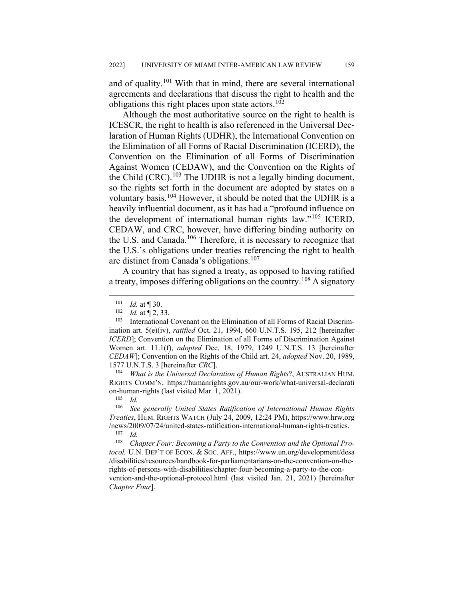and of quality.<sup>[101](#page-17-0)</sup> With that in mind, there are several international agreements and declarations that discuss the right to health and the obligations this right places upon state actors.<sup>[102](#page-17-1)</sup>

Although the most authoritative source on the right to health is ICESCR, the right to health is also referenced in the Universal Declaration of Human Rights (UDHR), the International Convention on the Elimination of all Forms of Racial Discrimination (ICERD), the Convention on the Elimination of all Forms of Discrimination Against Women (CEDAW), and the Convention on the Rights of the Child  $(CRC)$ .<sup>[103](#page-17-2)</sup> The UDHR is not a legally binding document, so the rights set forth in the document are adopted by states on a voluntary basis.<sup>[104](#page-17-3)</sup> However, it should be noted that the UDHR is a heavily influential document, as it has had a "profound influence on the development of international human rights law."[105](#page-17-4) ICERD, CEDAW, and CRC, however, have differing binding authority on the U.S. and Canada.<sup>[106](#page-17-5)</sup> Therefore, it is necessary to recognize that the U.S.'s obligations under treaties referencing the right to health are distinct from Canada's obligations.<sup>[107](#page-17-6)</sup>

A country that has signed a treaty, as opposed to having ratified a treaty, imposes differing obligations on the country.<sup>[108](#page-17-7)</sup> A signatory

<span id="page-17-3"></span><sup>104</sup> *What is the Universal Declaration of Human Rights*?, AUSTRALIAN HUM. RIGHTS COMM'N, https://humanrights.gov.au/our-work/what-universal-declarati on-human-rights (last visited Mar. 1, 2021).

<span id="page-17-5"></span><span id="page-17-4"></span><sup>106</sup> *See generally United States Ratification of International Human Rights Treaties*, HUM. RIGHTS WATCH (July 24, 2009, 12:24 PM), https://www.hrw.org /news/2009/07/24/united-states-ratification-international-human-rights-treaties.<br> $\frac{107}{Id}$ 

<span id="page-17-7"></span><span id="page-17-6"></span> $\frac{107}{108}$  *Id. Chapter Four: Becoming a Party to the Convention and the Optional Protocol,* U.N. DEP'T OF ECON. & SOC. AFF., https://www.un.org/development/desa /disabilities/resources/handbook-for-parliamentarians-on-the-convention-on-therights-of-persons-with-disabilities/chapter-four-becoming-a-party-to-the-convention-and-the-optional-protocol.html (last visited Jan. 21, 2021) [hereinafter *Chapter Four*].

 $\frac{101}{102}$  *Id.* at **[30.**<br> $\frac{102}{1}$  *Id.* at **[2010]** 

 $\frac{102}{103}$  *Id.* at  $\sqrt{2}$ , 33.

<span id="page-17-2"></span><span id="page-17-1"></span><span id="page-17-0"></span>International Covenant on the Elimination of all Forms of Racial Discrimination art. 5(e)(iv), *ratified* Oct. 21, 1994, 660 U.N.T.S. 195, 212 [hereinafter *ICERD*]; Convention on the Elimination of all Forms of Discrimination Against Women art. 11.1(f), *adopted* Dec. 18, 1979, 1249 U.N.T.S. 13 [hereinafter *CEDAW*]; Convention on the Rights of the Child art. 24, *adopted* Nov. 20, 1989, 1577 U.N.T.S. 3 [hereinafter *CRC*].

 $\frac{105}{106}$  *Id.*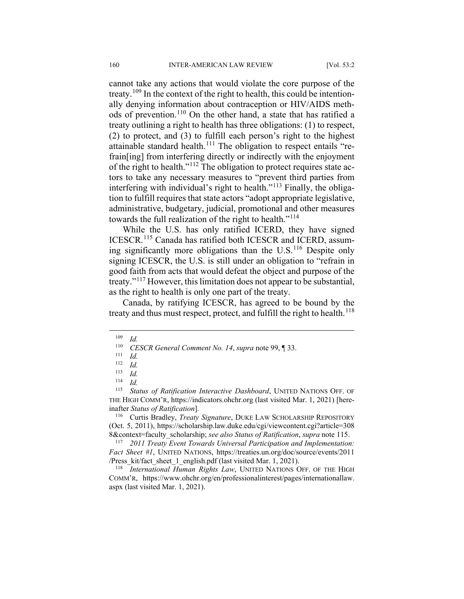cannot take any actions that would violate the core purpose of the treaty.<sup>[109](#page-18-0)</sup> In the context of the right to health, this could be intentionally denying information about contraception or HIV/AIDS meth-ods of prevention.<sup>[110](#page-18-1)</sup> On the other hand, a state that has ratified a treaty outlining a right to health has three obligations: (1) to respect, (2) to protect, and (3) to fulfill each person's right to the highest attainable standard health.<sup>[111](#page-18-2)</sup> The obligation to respect entails "refrain[ing] from interfering directly or indirectly with the enjoyment of the right to health."[112](#page-18-3) The obligation to protect requires state actors to take any necessary measures to "prevent third parties from interfering with individual's right to health."[113](#page-18-4) Finally, the obligation to fulfill requires that state actors "adopt appropriate legislative, administrative, budgetary, judicial, promotional and other measures towards the full realization of the right to health."<sup>[114](#page-18-5)</sup>

While the U.S. has only ratified ICERD, they have signed ICESCR.[115](#page-18-6) Canada has ratified both ICESCR and ICERD, assuming significantly more obligations than the  $U.S.<sup>116</sup>$  $U.S.<sup>116</sup>$  $U.S.<sup>116</sup>$  Despite only signing ICESCR, the U.S. is still under an obligation to "refrain in good faith from acts that would defeat the object and purpose of the treaty."[117](#page-18-8) However, this limitation does not appear to be substantial, as the right to health is only one part of the treaty.

Canada, by ratifying ICESCR, has agreed to be bound by the treaty and thus must respect, protect, and fulfill the right to health.<sup>[118](#page-18-9)</sup>

<span id="page-18-6"></span><span id="page-18-5"></span><span id="page-18-4"></span><span id="page-18-3"></span><span id="page-18-2"></span>Status of Ratification Interactive Dashboard, UNITED NATIONS OFF. OF THE HIGH COMM'R, https://indicators.ohchr.org (last visited Mar. 1, 2021) [hereinafter *Status of Ratification*].

<span id="page-18-7"></span><sup>116</sup> Curtis Bradley, *Treaty Signature*, DUKE LAW SCHOLARSHIP REPOSITORY (Oct. 5, 2011), https://scholarship.law.duke.edu/cgi/viewcontent.cgi?article=308 8&context=faculty\_scholarship; *see also Status of Ratification*, *supra* note 115.

<span id="page-18-8"></span><sup>117</sup> *2011 Treaty Event Towards Universal Participation and Implementation: Fact Sheet #1*, UNITED NATIONS, https://treaties.un.org/doc/source/events/2011 /Press\_kit/fact\_sheet\_1\_english.pdf (last visited Mar. 1, 2021).

<span id="page-18-9"></span><sup>118</sup> *International Human Rights Law*, UNITED NATIONS OFF. OF THE HIGH COMM'R, https://www.ohchr.org/en/professionalinterest/pages/internationallaw. aspx (last visited Mar. 1, 2021).

<span id="page-18-1"></span><span id="page-18-0"></span> $\frac{109}{110}$  *Id.* 

<sup>110</sup> *CESCR General Comment No. 14*, *supra* note 99, ¶ 33.

 $\frac{111}{112}$  *Id.* 

 $\frac{112}{113}$  *Id.* 

 $\frac{113}{114}$  *Id.* 

 $\frac{114}{115}$  *Id.*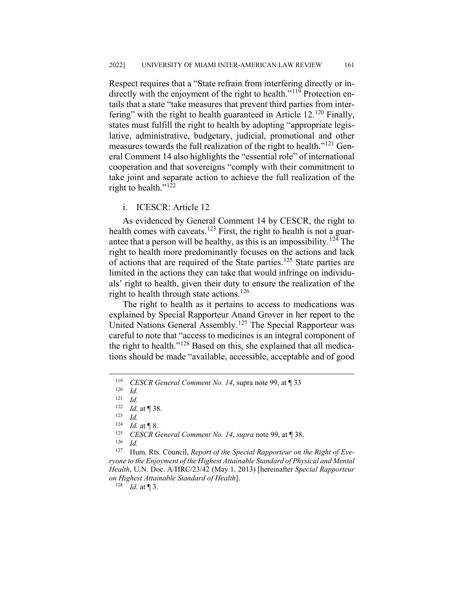Respect requires that a "State refrain from interfering directly or in-directly with the enjoyment of the right to health."<sup>[119](#page-19-0)</sup> Protection entails that a state "take measures that prevent third parties from interfering" with the right to health guaranteed in Article  $12^{120}$  $12^{120}$  $12^{120}$  Finally, states must fulfill the right to health by adopting "appropriate legislative, administrative, budgetary, judicial, promotional and other measures towards the full realization of the right to health."<sup>[121](#page-19-2)</sup> General Comment 14 also highlights the "essential role" of international cooperation and that sovereigns "comply with their commitment to take joint and separate action to achieve the full realization of the right to health." $122$ 

## i. ICESCR: Article 12

As evidenced by General Comment 14 by CESCR, the right to health comes with caveats.<sup>[123](#page-19-4)</sup> First, the right to health is not a guar-antee that a person will be healthy, as this is an impossibility.<sup>[124](#page-19-5)</sup> The right to health more predominantly focuses on the actions and lack of actions that are required of the State parties.<sup>[125](#page-19-6)</sup> State parties are limited in the actions they can take that would infringe on individuals' right to health, given their duty to ensure the realization of the right to health through state actions.<sup>[126](#page-19-7)</sup>

The right to health as it pertains to access to medications was explained by Special Rapporteur Anand Grover in her report to the United Nations General Assembly.<sup>[127](#page-19-8)</sup> The Special Rapporteur was careful to note that "access to medicines is an integral component of the right to health."[128](#page-19-9) Based on this, she explained that all medications should be made "available, accessible, acceptable and of good

 $\frac{126}{127}$  *Id.* 

<span id="page-19-9"></span><span id="page-19-8"></span><span id="page-19-7"></span><span id="page-19-6"></span><span id="page-19-5"></span><span id="page-19-4"></span>Hum. Rts. Council, *Report of the Special Rapporteur on the Right of Everyone to the Enjoyment of the Highest Attainable Standard of Physical and Mental Health*, U.N. Doc. A/HRC/23/42 (May 1, 2013) [hereinafter *Special Rapporteur on Highest Attainable Standard of Health*].

 $128$  *Id.* at ¶ 3.

<span id="page-19-0"></span> <sup>119</sup> *CESCR General Comment No. 14*, supra note 99, at ¶ 33

<span id="page-19-1"></span> $\frac{120}{121}$  *Id.* 

<span id="page-19-2"></span> $\frac{121}{122}$  *Id.* 

<span id="page-19-3"></span> $\frac{122}{123}$  *Id.* at | 38.

 $\frac{123}{124}$  *Id.* 

 $\frac{124}{125}$  *Id.* at **[8.**]<br>125 *CESCR G* 

<sup>125</sup> *CESCR General Comment No. 14*, *supra* note 99, at ¶ 38.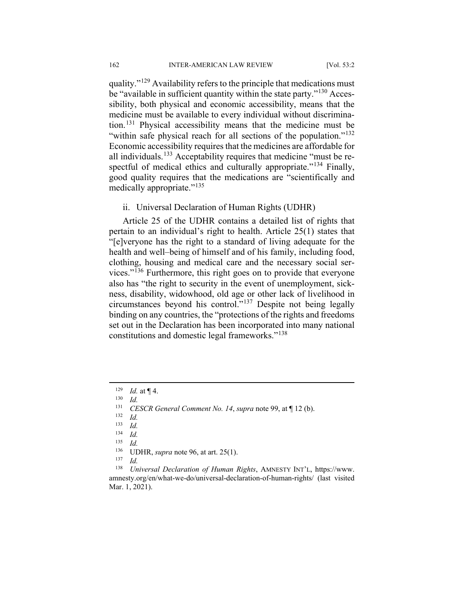quality."<sup>[129](#page-20-0)</sup> Availability refers to the principle that medications must be "available in sufficient quantity within the state party."<sup>[130](#page-20-1)</sup> Accessibility, both physical and economic accessibility, means that the medicine must be available to every individual without discrimination.[131](#page-20-2) Physical accessibility means that the medicine must be "within safe physical reach for all sections of the population."<sup>[132](#page-20-3)</sup> Economic accessibility requires that the medicines are affordable for all individuals.<sup>[133](#page-20-4)</sup> Acceptability requires that medicine "must be re-spectful of medical ethics and culturally appropriate."<sup>[134](#page-20-5)</sup> Finally, good quality requires that the medications are "scientifically and medically appropriate."<sup>[135](#page-20-6)</sup>

ii. Universal Declaration of Human Rights (UDHR)

Article 25 of the UDHR contains a detailed list of rights that pertain to an individual's right to health. Article 25(1) states that "[e]veryone has the right to a standard of living adequate for the health and well–being of himself and of his family, including food, clothing, housing and medical care and the necessary social services."[136](#page-20-7) Furthermore, this right goes on to provide that everyone also has "the right to security in the event of unemployment, sickness, disability, widowhood, old age or other lack of livelihood in circumstances beyond his control."[137](#page-20-8) Despite not being legally binding on any countries, the "protections of the rights and freedoms set out in the Declaration has been incorporated into many national constitutions and domestic legal frameworks."[138](#page-20-9)

 $\frac{137}{138}$  *Id.* 

<span id="page-20-9"></span><span id="page-20-8"></span><span id="page-20-7"></span><span id="page-20-6"></span><span id="page-20-5"></span><sup>138</sup> *Universal Declaration of Human Rights*, AMNESTY INT'L, https://www. amnesty.org/en/what-we-do/universal-declaration-of-human-rights/ (last visited Mar. 1, 2021).

<span id="page-20-0"></span> $\frac{129}{130}$  *Id.* at **[4.**]

<span id="page-20-1"></span> $\frac{130}{131}$  *Id.* 

<span id="page-20-2"></span><sup>131</sup> *CESCR General Comment No. 14*, *supra* note 99, at ¶ 12 (b).

<span id="page-20-3"></span> $\frac{132}{133}$  *Id.* 

<span id="page-20-4"></span> $\frac{133}{134}$  *Id.* 

 $\frac{134}{135}$  *Id.* 

*Id.* 

<sup>&</sup>lt;sup>136</sup> UDHR, *supra* note 96, at art. 25(1).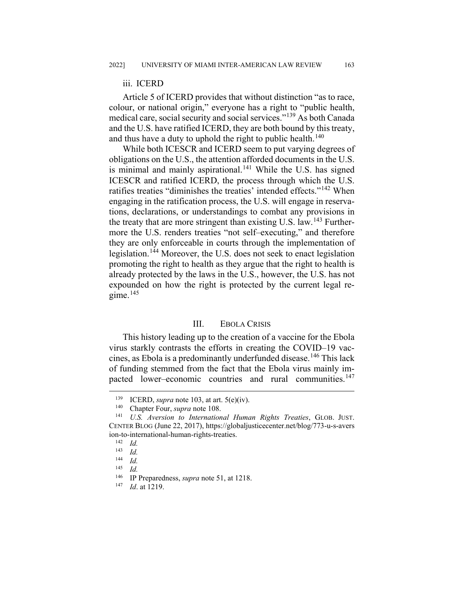#### iii. ICERD

Article 5 of ICERD provides that without distinction "as to race, colour, or national origin," everyone has a right to "public health, medical care, social security and social services."[139](#page-21-0) As both Canada and the U.S. have ratified ICERD, they are both bound by this treaty, and thus have a duty to uphold the right to public health.<sup>[140](#page-21-1)</sup>

While both ICESCR and ICERD seem to put varying degrees of obligations on the U.S., the attention afforded documents in the U.S. is minimal and mainly aspirational. $141$  While the U.S. has signed ICESCR and ratified ICERD, the process through which the U.S. ratifies treaties "diminishes the treaties' intended effects."<sup>[142](#page-21-3)</sup> When engaging in the ratification process, the U.S. will engage in reservations, declarations, or understandings to combat any provisions in the treaty that are more stringent than existing U.S. law.<sup>[143](#page-21-4)</sup> Furthermore the U.S. renders treaties "not self–executing," and therefore they are only enforceable in courts through the implementation of legislation.<sup>[144](#page-21-5)</sup> Moreover, the U.S. does not seek to enact legislation promoting the right to health as they argue that the right to health is already protected by the laws in the U.S., however, the U.S. has not expounded on how the right is protected by the current legal regime. $145$ 

#### III. EBOLA CRISIS

This history leading up to the creation of a vaccine for the Ebola virus starkly contrasts the efforts in creating the COVID–19 vaccines, as Ebola is a predominantly underfunded disease.[146](#page-21-7) This lack of funding stemmed from the fact that the Ebola virus mainly im-pacted lower–economic countries and rural communities.<sup>[147](#page-21-8)</sup>

<sup>&</sup>lt;sup>139</sup> ICERD, *supra* note 103, at art.  $5(e)(iv)$ .<br><sup>140</sup> Chapter Four, *supra* note 108

<sup>&</sup>lt;sup>140</sup> Chapter Four, *supra* note 108.

<span id="page-21-4"></span><span id="page-21-3"></span><span id="page-21-2"></span><span id="page-21-1"></span><span id="page-21-0"></span><sup>141</sup> *U.S. Aversion to International Human Rights Treaties*, GLOB. JUST. CENTER BLOG (June 22, 2017), https://globaljusticecenter.net/blog/773-u-s-avers ion-to-international-human-rights-treaties.

 $\frac{142}{143}$  *Id.* 

 $\frac{143}{144}$  *Id.* 

<span id="page-21-5"></span> $\frac{144}{145}$  *Id.* 

<span id="page-21-6"></span> $\frac{145}{146}$  *Id.* 

<span id="page-21-8"></span><span id="page-21-7"></span><sup>&</sup>lt;sup>146</sup> IP Preparedness, *supra* note 51, at 1218.

*Id.* at 1219.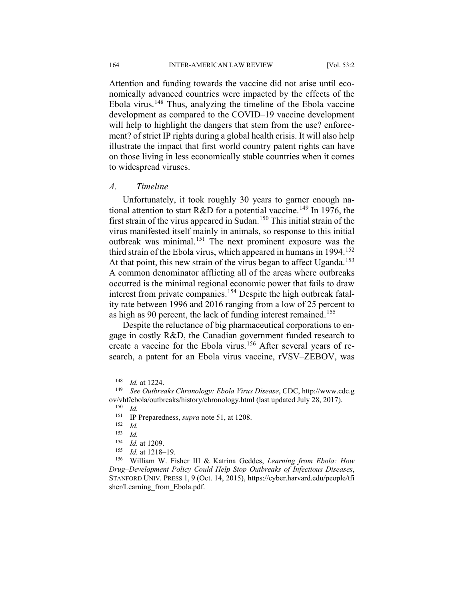164 INTER-AMERICAN LAW REVIEW [Vol. 53:2

Attention and funding towards the vaccine did not arise until economically advanced countries were impacted by the effects of the Ebola virus.<sup>[148](#page-22-0)</sup> Thus, analyzing the timeline of the Ebola vaccine development as compared to the COVID–19 vaccine development will help to highlight the dangers that stem from the use? enforcement? of strict IP rights during a global health crisis. It will also help illustrate the impact that first world country patent rights can have on those living in less economically stable countries when it comes to widespread viruses.

## *A. Timeline*

Unfortunately, it took roughly 30 years to garner enough na-tional attention to start R&D for a potential vaccine.<sup>[149](#page-22-1)</sup> In 1976, the first strain of the virus appeared in Sudan.<sup>[150](#page-22-2)</sup> This initial strain of the virus manifested itself mainly in animals, so response to this initial outbreak was minimal.<sup>[151](#page-22-3)</sup> The next prominent exposure was the third strain of the Ebola virus, which appeared in humans in  $1994$ <sup>[152](#page-22-4)</sup> At that point, this new strain of the virus began to affect Uganda.<sup>[153](#page-22-5)</sup> A common denominator afflicting all of the areas where outbreaks occurred is the minimal regional economic power that fails to draw interest from private companies.[154](#page-22-6) Despite the high outbreak fatality rate between 1996 and 2016 ranging from a low of 25 percent to as high as 90 percent, the lack of funding interest remained.<sup>[155](#page-22-7)</sup>

Despite the reluctance of big pharmaceutical corporations to engage in costly R&D, the Canadian government funded research to gage in every recent, the examining-[156](#page-22-8) After several years of research, a patent for an Ebola virus vaccine, rVSV–ZEBOV, was

<sup>&</sup>lt;sup>148</sup> *Id.* at 1224.

<span id="page-22-3"></span><span id="page-22-2"></span><span id="page-22-1"></span><span id="page-22-0"></span><sup>149</sup> *See Outbreaks Chronology: Ebola Virus Disease*, CDC, http://www.cdc.g ov/vhf/ebola/outbreaks/history/chronology.html (last updated July 28, 2017).

 $\frac{150}{151}$  *Id.* 

<sup>151</sup> IP Preparedness, *supra* note 51, at 1208.

 $\frac{152}{153}$  *Id.* 

 $\frac{153}{154}$  *Id.* 

 $\frac{154}{155}$  *Id.* at 1209.

Id. at 1218-19.

<span id="page-22-8"></span><span id="page-22-7"></span><span id="page-22-6"></span><span id="page-22-5"></span><span id="page-22-4"></span><sup>156</sup> William W. Fisher III & Katrina Geddes, *Learning from Ebola: How Drug–Development Policy Could Help Stop Outbreaks of Infectious Diseases*, STANFORD UNIV. PRESS 1, 9 (Oct. 14, 2015), https://cyber.harvard.edu/people/tfi sher/Learning\_from\_Ebola.pdf.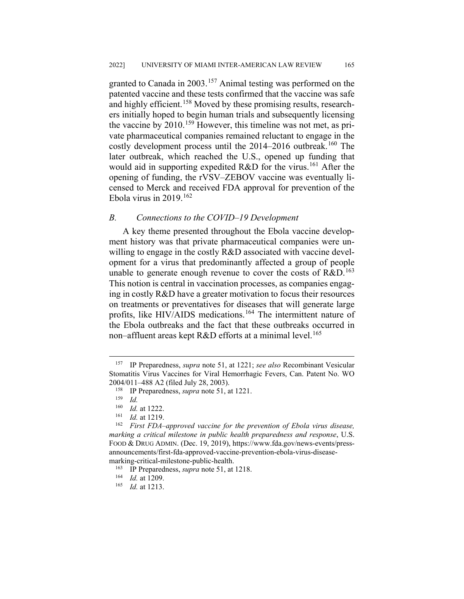granted to Canada in 2003.<sup>[157](#page-23-0)</sup> Animal testing was performed on the patented vaccine and these tests confirmed that the vaccine was safe and highly efficient.<sup>[158](#page-23-1)</sup> Moved by these promising results, researchers initially hoped to begin human trials and subsequently licensing the vaccine by  $2010$ .<sup>[159](#page-23-2)</sup> However, this timeline was not met, as private pharmaceutical companies remained reluctant to engage in the costly development process until the  $2014-2016$  outbreak.<sup>[160](#page-23-3)</sup> The later outbreak, which reached the U.S., opened up funding that would aid in supporting expedited  $R&D$  for the virus.<sup>[161](#page-23-4)</sup> After the opening of funding, the rVSV–ZEBOV vaccine was eventually licensed to Merck and received FDA approval for prevention of the Ebola virus in  $2019$ .<sup>[162](#page-23-5)</sup>

## *B. Connections to the COVID–19 Development*

A key theme presented throughout the Ebola vaccine development history was that private pharmaceutical companies were unwilling to engage in the costly R&D associated with vaccine development for a virus that predominantly affected a group of people unable to generate enough revenue to cover the costs of  $R&D.<sup>163</sup>$  $R&D.<sup>163</sup>$  $R&D.<sup>163</sup>$ This notion is central in vaccination processes, as companies engaging in costly R&D have a greater motivation to focus their resources on treatments or preventatives for diseases that will generate large profits, like HIV/AIDS medications.<sup>[164](#page-23-7)</sup> The intermittent nature of the Ebola outbreaks and the fact that these outbreaks occurred in non–affluent areas kept  $R&D$  efforts at a minimal level.<sup>[165](#page-23-8)</sup>

<span id="page-23-1"></span><span id="page-23-0"></span> <sup>157</sup> IP Preparedness, *supra* note 51, at 1221; *see also* Recombinant Vesicular Stomatitis Virus Vaccines for Viral Hemorrhagic Fevers, Can. Patent No. WO 2004/011–488 A2 (filed July 28, 2003).

<sup>&</sup>lt;sup>158</sup> IP Preparedness, *supra* note 51, at 1221.

 $\frac{159}{160}$  *Id.* 

 $\frac{160}{161}$  *Id.* at 1222.

*Id.* at 1219.

<span id="page-23-5"></span><span id="page-23-4"></span><span id="page-23-3"></span><span id="page-23-2"></span><sup>162</sup> *First FDA–approved vaccine for the prevention of Ebola virus disease, marking a critical milestone in public health preparedness and response*, U.S. FOOD & DRUG ADMIN. (Dec. 19, 2019), https://www.fda.gov/news-events/pressannouncements/first-fda-approved-vaccine-prevention-ebola-virus-diseasemarking-critical-milestone-public-health.

<sup>163</sup> IP Preparedness, *supra* note 51, at 1218.

<span id="page-23-7"></span><span id="page-23-6"></span><sup>164</sup> *Id.* at 1209.

<span id="page-23-8"></span><sup>165</sup> *Id.* at 1213.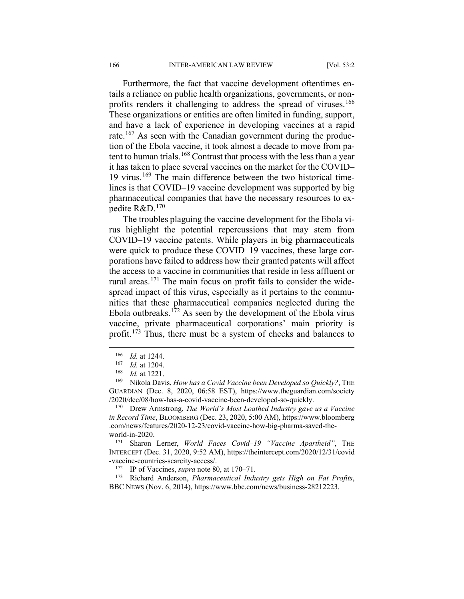Furthermore, the fact that vaccine development oftentimes entails a reliance on public health organizations, governments, or non-profits renders it challenging to address the spread of viruses.<sup>[166](#page-24-0)</sup> These organizations or entities are often limited in funding, support, and have a lack of experience in developing vaccines at a rapid rate.<sup>[167](#page-24-1)</sup> As seen with the Canadian government during the production of the Ebola vaccine, it took almost a decade to move from pa-tent to human trials.<sup>[168](#page-24-2)</sup> Contrast that process with the less than a year it has taken to place several vaccines on the market for the COVID– 19 virus.<sup>[169](#page-24-3)</sup> The main difference between the two historical timelines is that COVID–19 vaccine development was supported by big pharmaceutical companies that have the necessary resources to expedite R&D.[170](#page-24-4)

The troubles plaguing the vaccine development for the Ebola virus highlight the potential repercussions that may stem from COVID–19 vaccine patents. While players in big pharmaceuticals were quick to produce these COVID–19 vaccines, these large corporations have failed to address how their granted patents will affect the access to a vaccine in communities that reside in less affluent or rural areas.<sup>[171](#page-24-5)</sup> The main focus on profit fails to consider the widespread impact of this virus, especially as it pertains to the communities that these pharmaceutical companies neglected during the Ebola outbreaks.[172](#page-24-6) As seen by the development of the Ebola virus vaccine, private pharmaceutical corporations' main priority is profit.[173](#page-24-7) Thus, there must be a system of checks and balances to

 $\frac{166}{167}$  *Id.* at 1244.

<sup>&</sup>lt;sup>167</sup> *Id.* at 1204.<br><sup>168</sup> *Id.* at 1221

<sup>&</sup>lt;sup>168</sup> *Id.* at 1221.

<span id="page-24-3"></span><span id="page-24-2"></span><span id="page-24-1"></span><span id="page-24-0"></span>Nikola Davis, *How has a Covid Vaccine been Developed so Quickly?*, THE GUARDIAN (Dec. 8, 2020, 06:58 EST), https://www.theguardian.com/society /2020/dec/08/how-has-a-covid-vaccine-been-developed-so-quickly.

<span id="page-24-4"></span><sup>170</sup> Drew Armstrong, *The World's Most Loathed Industry gave us a Vaccine in Record Time*, BLOOMBERG (Dec. 23, 2020, 5:00 AM), https://www.bloomberg .com/news/features/2020-12-23/covid-vaccine-how-big-pharma-saved-theworld-in-2020.

<span id="page-24-5"></span><sup>171</sup> Sharon Lerner, *World Faces Covid–19 "Vaccine Apartheid"*, THE INTERCEPT (Dec. 31, 2020, 9:52 AM), https://theintercept.com/2020/12/31/covid -vaccine-countries-scarcity-access/.

<sup>172</sup> IP of Vaccines, *supra* note 80, at 170–71.

<span id="page-24-7"></span><span id="page-24-6"></span><sup>173</sup> Richard Anderson, *Pharmaceutical Industry gets High on Fat Profits*, BBC NEWS (Nov. 6, 2014), https://www.bbc.com/news/business-28212223.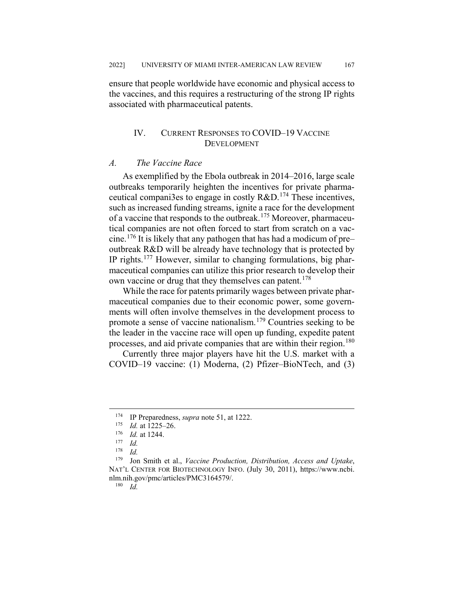ensure that people worldwide have economic and physical access to the vaccines, and this requires a restructuring of the strong IP rights associated with pharmaceutical patents.

## IV. CURRENT RESPONSES TO COVID–19 VACCINE DEVELOPMENT

## *A. The Vaccine Race*

As exemplified by the Ebola outbreak in 2014–2016, large scale outbreaks temporarily heighten the incentives for private pharmaceutical compani3es to engage in costly  $R&D$ .<sup>[174](#page-25-0)</sup> These incentives, such as increased funding streams, ignite a race for the development of a vaccine that responds to the outbreak.[175](#page-25-1) Moreover, pharmaceutical companies are not often forced to start from scratch on a vac-cine.<sup>[176](#page-25-2)</sup> It is likely that any pathogen that has had a modicum of pre– outbreak R&D will be already have technology that is protected by IP rights.[177](#page-25-3) However, similar to changing formulations, big pharmaceutical companies can utilize this prior research to develop their own vaccine or drug that they themselves can patent.<sup>[178](#page-25-4)</sup>

While the race for patents primarily wages between private pharmaceutical companies due to their economic power, some governments will often involve themselves in the development process to promote a sense of vaccine nationalism.[179](#page-25-5) Countries seeking to be the leader in the vaccine race will open up funding, expedite patent processes, and aid private companies that are within their region.<sup>[180](#page-25-6)</sup>

Currently three major players have hit the U.S. market with a COVID–19 vaccine: (1) Moderna, (2) Pfizer–BioNTech, and (3)

<sup>180</sup> *Id.*

<span id="page-25-0"></span><sup>&</sup>lt;sup>174</sup> IP Preparedness, *supra* note 51, at 1222.

 $\frac{175}{176}$  *Id.* at 1225–26.

 $\frac{176}{177}$  *Id.* at 1244.

 $\frac{177}{178}$  *Id.* 

 $\frac{178}{179}$  *Id.* 

<span id="page-25-6"></span><span id="page-25-5"></span><span id="page-25-4"></span><span id="page-25-3"></span><span id="page-25-2"></span><span id="page-25-1"></span>Jon Smith et al., *Vaccine Production, Distribution, Access and Uptake*, NAT'L CENTER FOR BIOTECHNOLOGY INFO. (July 30, 2011), https://www.ncbi. nlm.nih.gov/pmc/articles/PMC3164579/.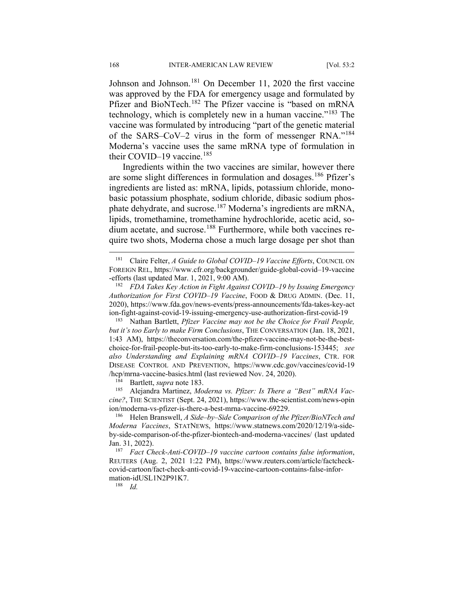Johnson and Johnson.<sup>[181](#page-26-0)</sup> On December 11, 2020 the first vaccine was approved by the FDA for emergency usage and formulated by Pfizer and BioNTech.<sup>[182](#page-26-1)</sup> The Pfizer vaccine is "based on mRNA technology, which is completely new in a human vaccine."[183](#page-26-2) The vaccine was formulated by introducing "part of the genetic material of the SARS–CoV–2 virus in the form of messenger RNA."[184](#page-26-3) Moderna's vaccine uses the same mRNA type of formulation in their COVID-19 vaccine.<sup>[185](#page-26-4)</sup>

Ingredients within the two vaccines are similar, however there are some slight differences in formulation and dosages.<sup>[186](#page-26-5)</sup> Pfizer's ingredients are listed as: mRNA, lipids, potassium chloride, monobasic potassium phosphate, sodium chloride, dibasic sodium phos-phate dehydrate, and sucrose.<sup>[187](#page-26-6)</sup> Moderna's ingredients are mRNA, lipids, tromethamine, tromethamine hydrochloride, acetic acid, so-dium acetate, and sucrose.<sup>[188](#page-26-7)</sup> Furthermore, while both vaccines require two shots, Moderna chose a much large dosage per shot than

<span id="page-26-2"></span><sup>183</sup> Nathan Bartlett, *Pfizer Vaccine may not be the Choice for Frail People, but it's too Early to make Firm Conclusions*, THE CONVERSATION (Jan. 18, 2021, 1:43 AM), https://theconversation.com/the-pfizer-vaccine-may-not-be-the-bestchoice-for-frail-people-but-its-too-early-to-make-firm-conclusions-153445; *see also Understanding and Explaining mRNA COVID–19 Vaccines*, CTR. FOR DISEASE CONTROL AND PREVENTION, https://www.cdc.gov/vaccines/covid-19 /hcp/mrna-vaccine-basics.html (last reviewed Nov. 24, 2020).

<sup>184</sup> Bartlett, *supra* note 183.<br><sup>185</sup> Alejandra Martinez Mo

<span id="page-26-4"></span><span id="page-26-3"></span>Alejandra Martinez, *Moderna vs. Pfizer: Is There a "Best" mRNA Vaccine?*, THE SCIENTIST (Sept. 24, 2021), https://www.the-scientist.com/news-opin ion/moderna-vs-pfizer-is-there-a-best-mrna-vaccine-69229.

<sup>188</sup> *Id.*

<span id="page-26-0"></span> <sup>181</sup> Claire Felter, *A Guide to Global COVID–19 Vaccine Efforts*, COUNCIL ON FOREIGN REL, https://www.cfr.org/backgrounder/guide-global-covid–19-vaccine -efforts (last updated Mar. 1, 2021, 9:00 AM).

<span id="page-26-1"></span><sup>182</sup> *FDA Takes Key Action in Fight Against COVID–19 by Issuing Emergency Authorization for First COVID–19 Vaccine*, FOOD & DRUG ADMIN. (Dec. 11, 2020), https://www.fda.gov/news-events/press-announcements/fda-takes-key-act ion-fight-against-covid-19-issuing-emergency-use-authorization-first-covid-19

<span id="page-26-5"></span><sup>186</sup> Helen Branswell, *A Side–by–Side Comparison of the Pfizer/BioNTech and Moderna Vaccines*, STATNEWS, https://www.statnews.com/2020/12/19/a-sideby-side-comparison-of-the-pfizer-biontech-and-moderna-vaccines/ (last updated Jan. 31, 2022).

<span id="page-26-7"></span><span id="page-26-6"></span><sup>187</sup> *Fact Check-Anti-COVID–19 vaccine cartoon contains false information*, REUTERS (Aug. 2, 2021 1:22 PM), https://www.reuters.com/article/factcheckcovid-cartoon/fact-check-anti-covid-19-vaccine-cartoon-contains-false-information-idUSL1N2P91K7.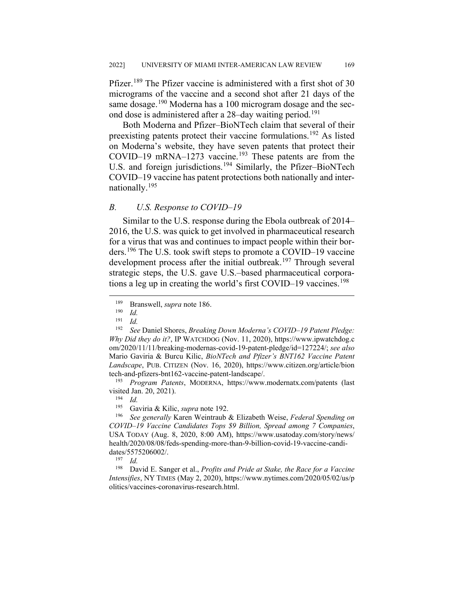Pfizer.<sup>[189](#page-27-0)</sup> The Pfizer vaccine is administered with a first shot of 30 micrograms of the vaccine and a second shot after 21 days of the same dosage.<sup>[190](#page-27-1)</sup> Moderna has a 100 microgram dosage and the sec-ond dose is administered after a 28-day waiting period.<sup>[191](#page-27-2)</sup>

Both Moderna and Pfizer–BioNTech claim that several of their preexisting patents protect their vaccine formulations.<sup>[192](#page-27-3)</sup> As listed on Moderna's website, they have seven patents that protect their COVID–19 mRNA–1273 vaccine.<sup>[193](#page-27-4)</sup> These patents are from the U.S. and foreign jurisdictions.<sup>[194](#page-27-5)</sup> Similarly, the Pfizer–BioNTech COVID–19 vaccine has patent protections both nationally and internationally.[195](#page-27-6)

## *B. U.S. Response to COVID–19*

Similar to the U.S. response during the Ebola outbreak of 2014– 2016, the U.S. was quick to get involved in pharmaceutical research for a virus that was and continues to impact people within their borders.[196](#page-27-7) The U.S. took swift steps to promote a COVID–19 vaccine development process after the initial outbreak.<sup>[197](#page-27-8)</sup> Through several strategic steps, the U.S. gave U.S.–based pharmaceutical corpora-tions a leg up in creating the world's first COVID–19 vaccines.<sup>[198](#page-27-9)</sup>

<span id="page-27-4"></span><sup>193</sup> *Program Patents*, MODERNA, https://www.modernatx.com/patents (last visited Jan. 20, 2021).

 $\frac{197}{198}$  *Id.* 

<span id="page-27-9"></span><span id="page-27-8"></span>David E. Sanger et al., *Profits and Pride at Stake, the Race for a Vaccine Intensifies*, NY TIMES (May 2, 2020), https://www.nytimes.com/2020/05/02/us/p olitics/vaccines-coronavirus-research.html.

<sup>&</sup>lt;sup>189</sup> Branswell, *supra* note 186.

 $\frac{190}{191}$  *Id.* 

 $\frac{191}{192}$  *Id.* 

<span id="page-27-3"></span><span id="page-27-2"></span><span id="page-27-1"></span><span id="page-27-0"></span><sup>192</sup> *See* Daniel Shores, *Breaking Down Moderna's COVID–19 Patent Pledge: Why Did they do it?*, IP WATCHDOG (Nov. 11, 2020), https://www.ipwatchdog.c om/2020/11/11/breaking-modernas-covid-19-patent-pledge/id=127224/; *see also* Mario Gaviria & Burcu Kilic, *BioNTech and Pfizer's BNT162 Vaccine Patent Landscape*, PUB. CITIZEN (Nov. 16, 2020), https://www.citizen.org/article/bion tech-and-pfizers-bnt162-vaccine-patent-landscape/.

 $\frac{194}{195}$  *Id.* 

<sup>&</sup>lt;sup>195</sup> Gaviria & Kilic, *supra* note 192.<br><sup>196</sup> See generally Karen Weintraub.

<span id="page-27-7"></span><span id="page-27-6"></span><span id="page-27-5"></span><sup>196</sup> *See generally* Karen Weintraub & Elizabeth Weise, *Federal Spending on COVID–19 Vaccine Candidates Tops \$9 Billion, Spread among 7 Companies*, USA TODAY (Aug. 8, 2020, 8:00 AM), https://www.usatoday.com/story/news/ health/2020/08/08/feds-spending-more-than-9-billion-covid-19-vaccine-candidates/5575206002/.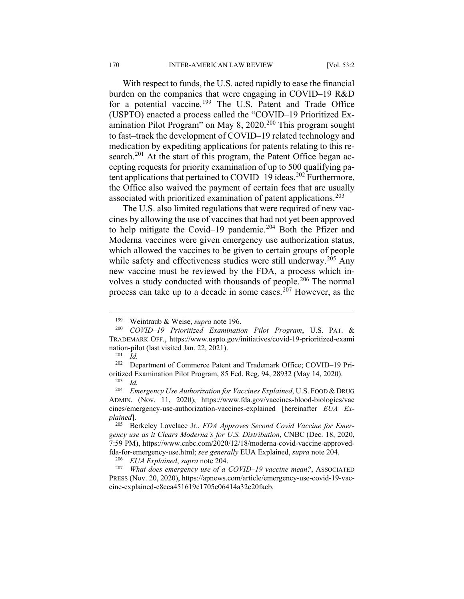With respect to funds, the U.S. acted rapidly to ease the financial burden on the companies that were engaging in COVID–19 R&D for a potential vaccine.<sup>[199](#page-28-0)</sup> The U.S. Patent and Trade Office (USPTO) enacted a process called the "COVID–19 Prioritized Examination Pilot Program" on May 8,  $2020$ <sup>[200](#page-28-1)</sup> This program sought to fast–track the development of COVID–19 related technology and medication by expediting applications for patents relating to this re-search.<sup>[201](#page-28-2)</sup> At the start of this program, the Patent Office began accepting requests for priority examination of up to 500 qualifying pa-tent applications that pertained to COVID–19 ideas.<sup>[202](#page-28-3)</sup> Furthermore, the Office also waived the payment of certain fees that are usually associated with prioritized examination of patent applications.<sup>[203](#page-28-4)</sup>

The U.S. also limited regulations that were required of new vaccines by allowing the use of vaccines that had not yet been approved to help mitigate the Covid–19 pandemic.<sup>[204](#page-28-5)</sup> Both the Pfizer and Moderna vaccines were given emergency use authorization status, which allowed the vaccines to be given to certain groups of people while safety and effectiveness studies were still underway.<sup>[205](#page-28-6)</sup> Any new vaccine must be reviewed by the FDA, a process which in-volves a study conducted with thousands of people.<sup>[206](#page-28-7)</sup> The normal process can take up to a decade in some cases.[207](#page-28-8) However, as the

 <sup>199</sup> Weintraub & Weise, *supra* note 196.

<span id="page-28-1"></span><span id="page-28-0"></span><sup>200</sup> *COVID–19 Prioritized Examination Pilot Program*, U.S. PAT. & TRADEMARK OFF., https://www.uspto.gov/initiatives/covid-19-prioritized-exami nation-pilot (last visited Jan. 22, 2021).<br> $^{201}$  *Id* 

 $\frac{201}{202}$  *Id.* 

<span id="page-28-3"></span><span id="page-28-2"></span><sup>202</sup> Department of Commerce Patent and Trademark Office; COVID–19 Prioritized Examination Pilot Program, 85 Fed. Reg. 94, 28932 (May 14, 2020).

 $\frac{203}{204}$  *Id.* 

<span id="page-28-5"></span><span id="page-28-4"></span><sup>204</sup> *Emergency Use Authorization for Vaccines Explained*, U.S. FOOD & DRUG ADMIN. (Nov. 11, 2020), https://www.fda.gov/vaccines-blood-biologics/vac cines/emergency-use-authorization-vaccines-explained [hereinafter *EUA Explained*].

<span id="page-28-6"></span><sup>205</sup> Berkeley Lovelace Jr., *FDA Approves Second Covid Vaccine for Emergency use as it Clears Moderna's for U.S. Distribution*, CNBC (Dec. 18, 2020, 7:59 PM), https://www.cnbc.com/2020/12/18/moderna-covid-vaccine-approvedfda-for-emergency-use.html; *see generally* EUA Explained, *supra* note 204.

<sup>206</sup> *EUA Explained*, *supra* note 204.

<span id="page-28-8"></span><span id="page-28-7"></span><sup>207</sup> *What does emergency use of a COVID–19 vaccine mean?*, ASSOCIATED PRESS (Nov. 20, 2020), https://apnews.com/article/emergency-use-covid-19-vaccine-explained-c8cca451619c1705e06414a32c20facb.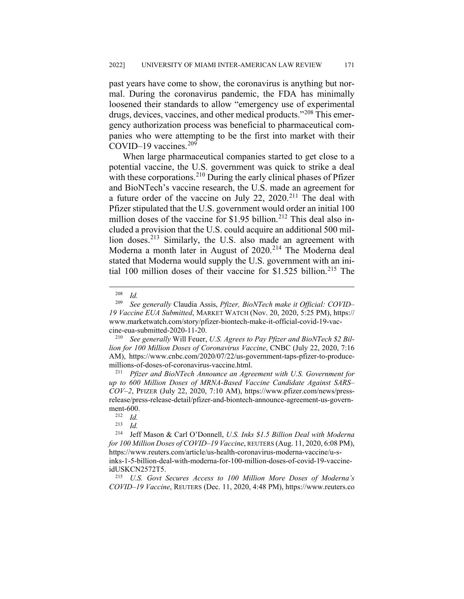past years have come to show, the coronavirus is anything but normal. During the coronavirus pandemic, the FDA has minimally loosened their standards to allow "emergency use of experimental drugs, devices, vaccines, and other medical products."<sup>[208](#page-29-0)</sup> This emergency authorization process was beneficial to pharmaceutical companies who were attempting to be the first into market with their COVID–19 vaccines.<sup>[209](#page-29-1)</sup>

When large pharmaceutical companies started to get close to a potential vaccine, the U.S. government was quick to strike a deal with these corporations.<sup>[210](#page-29-2)</sup> During the early clinical phases of Pfizer and BioNTech's vaccine research, the U.S. made an agreement for a future order of the vaccine on July 22, 2020.[211](#page-29-3) The deal with Pfizer stipulated that the U.S. government would order an initial 100 million doses of the vaccine for \$1.95 billion.<sup>[212](#page-29-4)</sup> This deal also included a provision that the U.S. could acquire an additional 500 mil-lion doses.<sup>[213](#page-29-5)</sup> Similarly, the U.S. also made an agreement with Moderna a month later in August of 2020.<sup>[214](#page-29-6)</sup> The Moderna deal stated that Moderna would supply the U.S. government with an ini-tial 100 million doses of their vaccine for \$1.525 billion.<sup>[215](#page-29-7)</sup> The

<span id="page-29-2"></span><sup>210</sup> *See generally* Will Feuer, *U.S. Agrees to Pay Pfizer and BioNTech \$2 Billion for 100 Million Doses of Coronavirus Vaccine*, CNBC (July 22, 2020, 7:16 AM), https://www.cnbc.com/2020/07/22/us-government-taps-pfizer-to-producemillions-of-doses-of-coronavirus-vaccine.html.

<span id="page-29-3"></span><sup>211</sup> *Pfizer and BioNTech Announce an Agreement with U.S. Government for up to 600 Million Doses of MRNA-Based Vaccine Candidate Against SARS– COV–2*, PFIZER (July 22, 2020, 7:10 AM), https://www.pfizer.com/news/pressrelease/press-release-detail/pfizer-and-biontech-announce-agreement-us-government-600.<br> $^{212}$  *Id* 

 $\frac{213}{214}$  *Id.* 

<span id="page-29-6"></span><span id="page-29-5"></span><span id="page-29-4"></span><sup>214</sup> Jeff Mason & Carl O'Donnell, *U.S. Inks \$1.5 Billion Deal with Moderna for 100 Million Doses of COVID–19 Vaccine*, REUTERS (Aug. 11, 2020, 6:08 PM), https://www.reuters.com/article/us-health-coronavirus-moderna-vaccine/u-sinks-1-5-billion-deal-with-moderna-for-100-million-doses-of-covid-19-vaccineidUSKCN2572T5.

<span id="page-29-7"></span><sup>215</sup> *U.S. Govt Secures Access to 100 Million More Doses of Moderna's COVID–19 Vaccine*, REUTERS (Dec. 11, 2020, 4:48 PM), https://www.reuters.co

 $\frac{208}{209}$  *Id.* 

<span id="page-29-1"></span><span id="page-29-0"></span><sup>209</sup> *See generally* Claudia Assis, *Pfizer, BioNTech make it Official: COVID– 19 Vaccine EUA Submitted*, MARKET WATCH (Nov. 20, 2020, 5:25 PM), https:// www.marketwatch.com/story/pfizer-biontech-make-it-official-covid-19-vaccine-eua-submitted-2020-11-20.

 $\frac{212}{213}$  *Id.*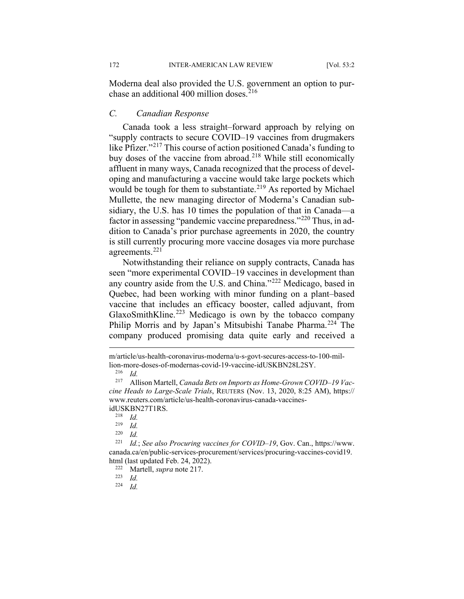Moderna deal also provided the U.S. government an option to pur-chase an additional 400 million doses.<sup>[216](#page-30-0)</sup>

#### *C. Canadian Response*

Canada took a less straight–forward approach by relying on "supply contracts to secure COVID–19 vaccines from drugmakers like Pfizer."[217](#page-30-1) This course of action positioned Canada's funding to buy doses of the vaccine from abroad.<sup>[218](#page-30-2)</sup> While still economically affluent in many ways, Canada recognized that the process of developing and manufacturing a vaccine would take large pockets which would be tough for them to substantiate.<sup>[219](#page-30-3)</sup> As reported by Michael Mullette, the new managing director of Moderna's Canadian subsidiary, the U.S. has 10 times the population of that in Canada—a factor in assessing "pandemic vaccine preparedness."[220](#page-30-4) Thus, in addition to Canada's prior purchase agreements in 2020, the country is still currently procuring more vaccine dosages via more purchase agreements.<sup>[221](#page-30-5)</sup>

Notwithstanding their reliance on supply contracts, Canada has seen "more experimental COVID–19 vaccines in development than any country aside from the U.S. and China."[222](#page-30-6) Medicago, based in Quebec, had been working with minor funding on a plant–based vaccine that includes an efficacy booster, called adjuvant, from GlaxoSmithKline.<sup>[223](#page-30-7)</sup> Medicago is own by the tobacco company Philip Morris and by Japan's Mitsubishi Tanabe Pharma.<sup>[224](#page-30-8)</sup> The company produced promising data quite early and received a

*Id.* 

m/article/us-health-coronavirus-moderna/u-s-govt-secures-access-to-100-million-more-doses-of-modernas-covid-19-vaccine-idUSKBN28L2SY.

 $\frac{216}{217}$  *Id.* 

<span id="page-30-1"></span><span id="page-30-0"></span><sup>217</sup> Allison Martell, *Canada Bets on Imports as Home-Grown COVID–19 Vaccine Heads to Large-Scale Trials*, REUTERS (Nov. 13, 2020, 8:25 AM), https:// www.reuters.com/article/us-health-coronavirus-canada-vaccinesidUSKBN27T1RS.

<sup>218</sup> *Id.*

 $\frac{219}{220}$  *Id.* 

 $\frac{220}{221}$  *Id.* 

<span id="page-30-7"></span><span id="page-30-6"></span><span id="page-30-5"></span><span id="page-30-4"></span><span id="page-30-3"></span><span id="page-30-2"></span>*Id.*; *See also Procuring vaccines for COVID–19*, Gov. Can., https://www. canada.ca/en/public-services-procurement/services/procuring-vaccines-covid19. html (last updated Feb. 24, 2022).

<sup>222</sup> Martell, *supra* note 217.

<span id="page-30-8"></span> $\frac{223}{224}$  *Id.*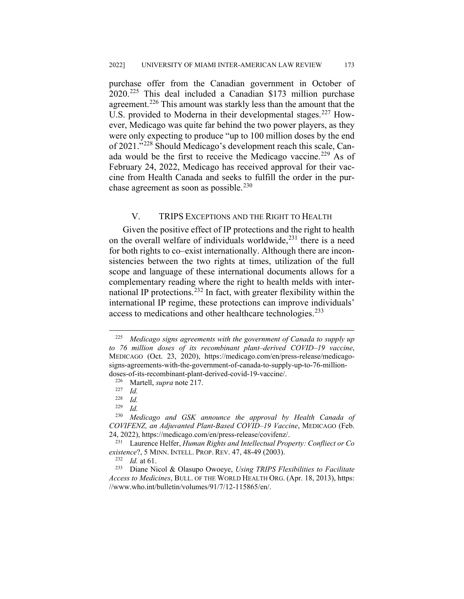purchase offer from the Canadian government in October of  $2020.^{225}$  $2020.^{225}$  $2020.^{225}$  This deal included a Canadian \$173 million purchase agreement.<sup>[226](#page-31-1)</sup> This amount was starkly less than the amount that the U.S. provided to Moderna in their developmental stages.<sup>[227](#page-31-2)</sup> However, Medicago was quite far behind the two power players, as they were only expecting to produce "up to 100 million doses by the end of 2021."[228](#page-31-3) Should Medicago's development reach this scale, Can-ada would be the first to receive the Medicago vaccine.<sup>[229](#page-31-4)</sup> As of February 24, 2022, Medicago has received approval for their vaccine from Health Canada and seeks to fulfill the order in the purchase agreement as soon as possible. $230$ 

## V. TRIPS EXCEPTIONS AND THE RIGHT TO HEALTH

Given the positive effect of IP protections and the right to health on the overall welfare of individuals worldwide,  $231$  there is a need for both rights to co–exist internationally. Although there are inconsistencies between the two rights at times, utilization of the full scope and language of these international documents allows for a complementary reading where the right to health melds with inter-national IP protections.<sup>[232](#page-31-7)</sup> In fact, with greater flexibility within the international IP regime, these protections can improve individuals' access to medications and other healthcare technologies.<sup>[233](#page-31-8)</sup>

<span id="page-31-0"></span> <sup>225</sup> *Medicago signs agreements with the government of Canada to supply up to 76 million doses of its recombinant plant–derived COVID–19 vaccine*, MEDICAGO (Oct. 23, 2020), https://medicago.com/en/press-release/medicagosigns-agreements-with-the-government-of-canada-to-supply-up-to-76-milliondoses-of-its-recombinant-plant-derived-covid-19-vaccine/.

<span id="page-31-1"></span><sup>&</sup>lt;sup>226</sup> Martell, *supra* note 217.

 $\frac{227}{228}$  *Id.* 

 $\frac{228}{229}$  *Id.* 

 $\frac{229}{230}$  *Id.* 

<span id="page-31-5"></span><span id="page-31-4"></span><span id="page-31-3"></span><span id="page-31-2"></span><sup>230</sup> *Medicago and GSK announce the approval by Health Canada of COVIFENZ, an Adjuvanted Plant-Based COVID–19 Vaccine*, MEDICAGO (Feb. 24, 2022), https://medicago.com/en/press-release/covifenz/.<br><sup>231</sup> Laurence Helfer *Human Rights and Intellectual Pror* 

<span id="page-31-6"></span>Laurence Helfer, *Human Rights and Intellectual Property: Confliect or Co existence*?, 5 MINN. INTELL. PROP. REV. 47, 48-49 (2003).<br><sup>232</sup> Id. at 61

<sup>232</sup> *Id.* at 61.

<span id="page-31-8"></span><span id="page-31-7"></span><sup>233</sup> Diane Nicol & Olasupo Owoeye, *Using TRIPS Flexibilities to Facilitate Access to Medicines*, BULL. OF THE WORLD HEALTH ORG. (Apr. 18, 2013), https: //www.who.int/bulletin/volumes/91/7/12-115865/en/.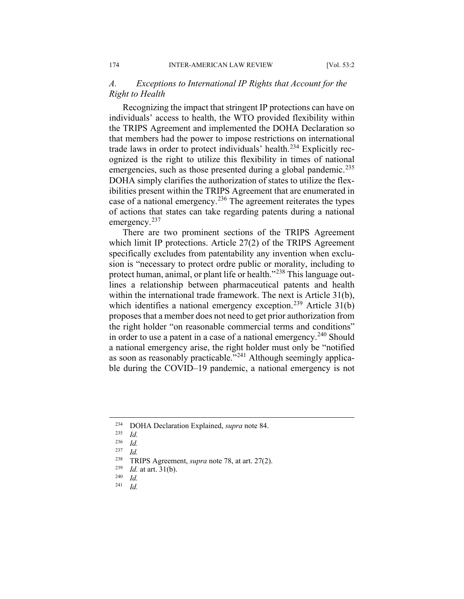## *A. Exceptions to International IP Rights that Account for the Right to Health*

Recognizing the impact that stringent IP protections can have on individuals' access to health, the WTO provided flexibility within the TRIPS Agreement and implemented the DOHA Declaration so that members had the power to impose restrictions on international trade laws in order to protect individuals' health.<sup>[234](#page-32-0)</sup> Explicitly recognized is the right to utilize this flexibility in times of national emergencies, such as those presented during a global pandemic.<sup>[235](#page-32-1)</sup> DOHA simply clarifies the authorization of states to utilize the flexibilities present within the TRIPS Agreement that are enumerated in case of a national emergency.<sup>[236](#page-32-2)</sup> The agreement reiterates the types of actions that states can take regarding patents during a national emergency.<sup>[237](#page-32-3)</sup>

There are two prominent sections of the TRIPS Agreement which limit IP protections. Article 27(2) of the TRIPS Agreement specifically excludes from patentability any invention when exclusion is "necessary to protect ordre public or morality, including to protect human, animal, or plant life or health."<sup>[238](#page-32-4)</sup> This language outlines a relationship between pharmaceutical patents and health within the international trade framework. The next is Article 31(b), which identifies a national emergency exception.<sup>[239](#page-32-5)</sup> Article  $31(b)$ proposes that a member does not need to get prior authorization from the right holder "on reasonable commercial terms and conditions" in order to use a patent in a case of a national emergency.<sup>[240](#page-32-6)</sup> Should a national emergency arise, the right holder must only be "notified as soon as reasonably practicable."[241](#page-32-7) Although seemingly applicable during the COVID–19 pandemic, a national emergency is not

<span id="page-32-1"></span><span id="page-32-0"></span><sup>&</sup>lt;sup>234</sup> DOHA Declaration Explained, *supra* note 84.

 $\frac{235}{236}$  *Id.* 

<span id="page-32-2"></span> $\frac{236}{237}$  *Id.* 

 $\frac{237}{238}$  *Id.* 

<span id="page-32-5"></span><span id="page-32-4"></span><span id="page-32-3"></span><sup>&</sup>lt;sup>238</sup> TRIPS Agreement, *supra* note 78, at art. 27(2).

 $\frac{239}{240}$  *Id.* at art. 31(b).

<span id="page-32-7"></span><span id="page-32-6"></span> $\frac{240}{241}$  *Id.* 

<sup>241</sup> *Id.*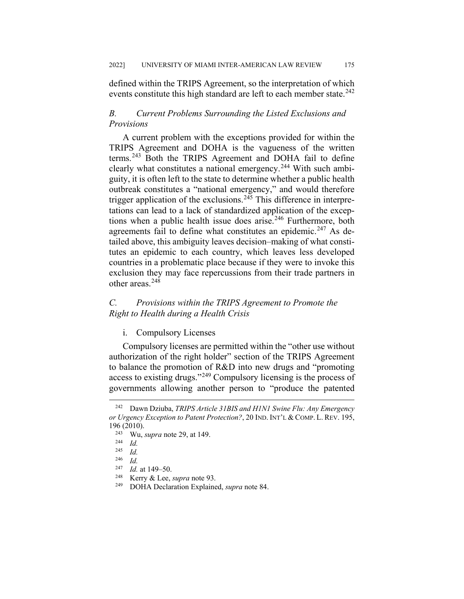defined within the TRIPS Agreement, so the interpretation of which events constitute this high standard are left to each member state.  $242$ 

## *B. Current Problems Surrounding the Listed Exclusions and Provisions*

A current problem with the exceptions provided for within the TRIPS Agreement and DOHA is the vagueness of the written terms.[243](#page-33-1) Both the TRIPS Agreement and DOHA fail to define clearly what constitutes a national emergency.<sup>[244](#page-33-2)</sup> With such ambiguity, it is often left to the state to determine whether a public health outbreak constitutes a "national emergency," and would therefore trigger application of the exclusions.<sup>[245](#page-33-3)</sup> This difference in interpretations can lead to a lack of standardized application of the excep-tions when a public health issue does arise.<sup>[246](#page-33-4)</sup> Furthermore, both agreements fail to define what constitutes an epidemic.<sup>[247](#page-33-5)</sup> As detailed above, this ambiguity leaves decision–making of what constitutes an epidemic to each country, which leaves less developed countries in a problematic place because if they were to invoke this exclusion they may face repercussions from their trade partners in other areas.<sup>[248](#page-33-6)</sup>

## *C. Provisions within the TRIPS Agreement to Promote the Right to Health during a Health Crisis*

## i. Compulsory Licenses

Compulsory licenses are permitted within the "other use without authorization of the right holder" section of the TRIPS Agreement to balance the promotion of R&D into new drugs and "promoting access to existing drugs."<sup>[249](#page-33-7)</sup> Compulsory licensing is the process of governments allowing another person to "produce the patented

<span id="page-33-2"></span><span id="page-33-1"></span><span id="page-33-0"></span> <sup>242</sup> Dawn Dziuba, *TRIPS Article 31BIS and H1N1 Swine Flu: Any Emergency or Urgency Exception to Patent Protection?*, 20 IND. INT'L & COMP. L. REV. 195,  $196 (2010).$ <br> $243 W_{11}$ 

<sup>&</sup>lt;sup>243</sup> Wu, *supra* note 29, at 149.

<span id="page-33-3"></span> $\frac{244}{245}$  *Id.* 

 $\frac{245}{246}$  *Id.* 

<span id="page-33-5"></span><span id="page-33-4"></span> $\frac{246}{247}$  *Id.* 

<sup>&</sup>lt;sup>247</sup> *Id.* at 149–50.<br><sup>248</sup> **Kerty & Lee** 

<span id="page-33-7"></span><span id="page-33-6"></span><sup>&</sup>lt;sup>248</sup> Kerry & Lee, *supra* note 93.<br><sup>249</sup> DOHA Declaration Explains

<sup>249</sup> DOHA Declaration Explained, *supra* note 84.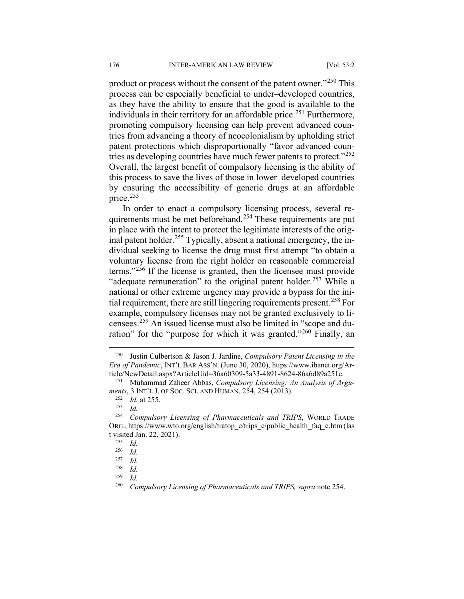product or process without the consent of the patent owner."<sup>[250](#page-34-0)</sup> This process can be especially beneficial to under–developed countries, as they have the ability to ensure that the good is available to the individuals in their territory for an affordable price.<sup>[251](#page-34-1)</sup> Furthermore, promoting compulsory licensing can help prevent advanced countries from advancing a theory of neocolonialism by upholding strict patent protections which disproportionally "favor advanced coun-tries as developing countries have much fewer patents to protect."<sup>[252](#page-34-2)</sup> Overall, the largest benefit of compulsory licensing is the ability of this process to save the lives of those in lower–developed countries by ensuring the accessibility of generic drugs at an affordable price.[253](#page-34-3)

In order to enact a compulsory licensing process, several re-quirements must be met beforehand.<sup>[254](#page-34-4)</sup> These requirements are put in place with the intent to protect the legitimate interests of the orig-inal patent holder.<sup>[255](#page-34-5)</sup> Typically, absent a national emergency, the individual seeking to license the drug must first attempt "to obtain a voluntary license from the right holder on reasonable commercial terms."[256](#page-34-6) If the license is granted, then the licensee must provide "adequate remuneration" to the original patent holder.<sup>[257](#page-34-7)</sup> While a national or other extreme urgency may provide a bypass for the ini-tial requirement, there are still lingering requirements present.<sup>[258](#page-34-8)</sup> For example, compulsory licenses may not be granted exclusively to licensees.[259](#page-34-9) An issued license must also be limited in "scope and du-ration" for the "purpose for which it was granted."<sup>[260](#page-34-10)</sup> Finally, an

<span id="page-34-0"></span> <sup>250</sup> Justin Culbertson & Jason J. Jardine, *Compulsory Patent Licensing in the Era of Pandemic*, INT'L BAR ASS'N. (June 30, 2020), https://www.ibanet.org/Article/NewDetail.aspx?ArticleUid=36a60309-5a33-4891-8624-86a6d89a251e.

<span id="page-34-2"></span><span id="page-34-1"></span><sup>251</sup> Muhammad Zaheer Abbas, *Compulsory Licensing: An Analysis of Arguments*, 3 INT'L J. OF SOC. SCI. AND HUMAN. 254, 254 (2013).

 $\frac{252}{253}$  *Id.* at 255.

 $\frac{253}{254}$  *Id.* 

<span id="page-34-6"></span><span id="page-34-5"></span><span id="page-34-4"></span><span id="page-34-3"></span><sup>254</sup> *Compulsory Licensing of Pharmaceuticals and TRIPS*, WORLD TRADE ORG., https://www.wto.org/english/tratop\_e/trips\_e/public\_health\_faq\_e.htm (las t visited Jan. 22, 2021).

 $\frac{255}{256}$  *Id.* 

<span id="page-34-7"></span> $\frac{256}{257}$  *Id.*  $\frac{257}{258}$  *Id.* 

<span id="page-34-10"></span><span id="page-34-9"></span><span id="page-34-8"></span> $\frac{258}{259}$  *Id.*  $\frac{259}{260}$  *Id.* 

<sup>260</sup> *Compulsory Licensing of Pharmaceuticals and TRIPS, supra* note 254.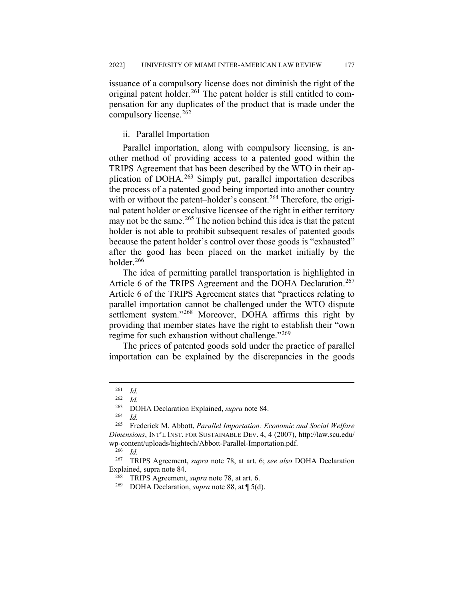issuance of a compulsory license does not diminish the right of the original patent holder.<sup>[261](#page-35-0)</sup> The patent holder is still entitled to compensation for any duplicates of the product that is made under the compulsory license.[262](#page-35-1)

## ii. Parallel Importation

Parallel importation, along with compulsory licensing, is another method of providing access to a patented good within the TRIPS Agreement that has been described by the WTO in their application of DOHA.[263](#page-35-2) Simply put, parallel importation describes the process of a patented good being imported into another country with or without the patent–holder's consent.<sup>[264](#page-35-3)</sup> Therefore, the original patent holder or exclusive licensee of the right in either territory may not be the same.<sup>[265](#page-35-4)</sup> The notion behind this idea is that the patent holder is not able to prohibit subsequent resales of patented goods because the patent holder's control over those goods is "exhausted" after the good has been placed on the market initially by the holder.<sup>[266](#page-35-5)</sup>

The idea of permitting parallel transportation is highlighted in Article 6 of the TRIPS Agreement and the DOHA Declaration.<sup>[267](#page-35-6)</sup> Article 6 of the TRIPS Agreement states that "practices relating to parallel importation cannot be challenged under the WTO dispute settlement system."<sup>[268](#page-35-7)</sup> Moreover, DOHA affirms this right by providing that member states have the right to establish their "own regime for such exhaustion without challenge."<sup>[269](#page-35-8)</sup>

The prices of patented goods sold under the practice of parallel importation can be explained by the discrepancies in the goods

<sup>263</sup> DOHA Declaration Explained, *supra* note 84.

<sup>264</sup> *Id.*

<span id="page-35-0"></span> $\frac{261}{262}$  *Id.* 

 $\frac{262}{263}$  *Id.* 

<span id="page-35-4"></span><span id="page-35-3"></span><span id="page-35-2"></span><span id="page-35-1"></span><sup>265</sup> Frederick M. Abbott, *Parallel Importation: Economic and Social Welfare Dimensions*, INT'L INST. FOR SUSTAINABLE DEV. 4, 4 (2007), http://law.scu.edu/ wp-content/uploads/hightech/Abbott-Parallel-Importation.pdf.<br><sup>266</sup> Id

 $rac{266}{267}$  *Id.* 

<span id="page-35-8"></span><span id="page-35-7"></span><span id="page-35-6"></span><span id="page-35-5"></span><sup>267</sup> TRIPS Agreement, *supra* note 78, at art. 6; *see also* DOHA Declaration Explained, supra note 84.

<sup>268</sup> TRIPS Agreement, *supra* note 78, at art. 6.

<sup>269</sup> DOHA Declaration, *supra* note 88, at ¶ 5(d).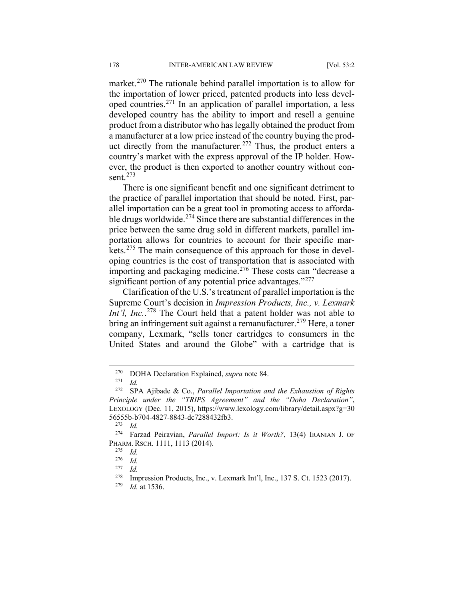market.<sup>[270](#page-36-0)</sup> The rationale behind parallel importation is to allow for the importation of lower priced, patented products into less developed countries.[271](#page-36-1) In an application of parallel importation, a less developed country has the ability to import and resell a genuine product from a distributor who has legally obtained the product from a manufacturer at a low price instead of the country buying the prod-uct directly from the manufacturer.<sup>[272](#page-36-2)</sup> Thus, the product enters a country's market with the express approval of the IP holder. However, the product is then exported to another country without consent.[273](#page-36-3)

There is one significant benefit and one significant detriment to the practice of parallel importation that should be noted. First, parallel importation can be a great tool in promoting access to affordable drugs worldwide. $274$  Since there are substantial differences in the price between the same drug sold in different markets, parallel importation allows for countries to account for their specific markets.[275](#page-36-5) The main consequence of this approach for those in developing countries is the cost of transportation that is associated with importing and packaging medicine.<sup>[276](#page-36-6)</sup> These costs can "decrease a significant portion of any potential price advantages."<sup>[277](#page-36-7)</sup>

Clarification of the U.S.'s treatment of parallel importation is the Supreme Court's decision in *Impression Products, Inc., v. Lexmark*  Int'l, Inc..<sup>[278](#page-36-8)</sup> The Court held that a patent holder was not able to bring an infringement suit against a remanufacturer.<sup>[279](#page-36-9)</sup> Here, a toner company, Lexmark, "sells toner cartridges to consumers in the United States and around the Globe" with a cartridge that is

 <sup>270</sup> DOHA Declaration Explained, *supra* note 84.

 $\frac{271}{272}$  *Id.* 

<span id="page-36-2"></span><span id="page-36-1"></span><span id="page-36-0"></span><sup>272</sup> SPA Ajibade & Co., *Parallel Importation and the Exhaustion of Rights Principle under the "TRIPS Agreement" and the "Doha Declaration"*, LEXOLOGY (Dec. 11, 2015), https://www.lexology.com/library/detail.aspx?g=30 56555b-b704-4827-8843-dc7288432fb3.

 $\frac{273}{274}$  *Id.* 

<span id="page-36-7"></span><span id="page-36-6"></span><span id="page-36-5"></span><span id="page-36-4"></span><span id="page-36-3"></span><sup>274</sup> Farzad Peiravian, *Parallel Import: Is it Worth?*, 13(4) IRANIAN J. OF PHARM. RSCH. 1111, 1113 (2014).

 $\frac{275}{276}$  *Id.* 

<sup>276</sup> *Id.*

 $\frac{277}{278}$  *Id.* 

<span id="page-36-9"></span><span id="page-36-8"></span><sup>&</sup>lt;sup>278</sup> Impression Products, Inc., v. Lexmark Int'l, Inc., 137 S. Ct. 1523 (2017).<br><sup>279</sup> Id at 1536

*Id.* at 1536.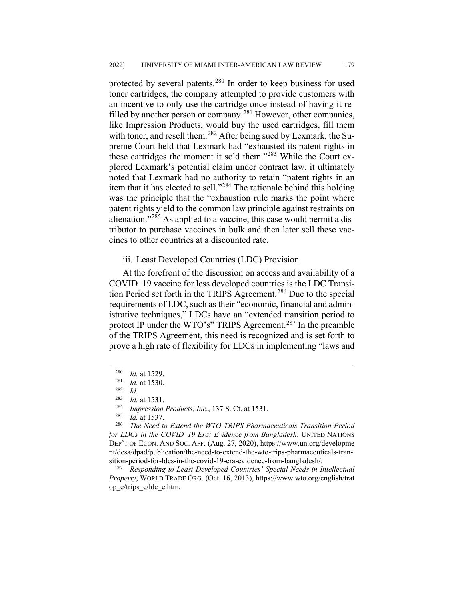protected by several patents.<sup>[280](#page-37-0)</sup> In order to keep business for used toner cartridges, the company attempted to provide customers with an incentive to only use the cartridge once instead of having it re-filled by another person or company.<sup>[281](#page-37-1)</sup> However, other companies, like Impression Products, would buy the used cartridges, fill them with toner, and resell them.<sup>[282](#page-37-2)</sup> After being sued by Lexmark, the Supreme Court held that Lexmark had "exhausted its patent rights in these cartridges the moment it sold them."[283](#page-37-3) While the Court explored Lexmark's potential claim under contract law, it ultimately noted that Lexmark had no authority to retain "patent rights in an item that it has elected to sell."[284](#page-37-4) The rationale behind this holding was the principle that the "exhaustion rule marks the point where patent rights yield to the common law principle against restraints on alienation."[285](#page-37-5) As applied to a vaccine, this case would permit a distributor to purchase vaccines in bulk and then later sell these vaccines to other countries at a discounted rate.

#### iii. Least Developed Countries (LDC) Provision

At the forefront of the discussion on access and availability of a COVID–19 vaccine for less developed countries is the LDC Transi-tion Period set forth in the TRIPS Agreement.<sup>[286](#page-37-6)</sup> Due to the special requirements of LDC, such as their "economic, financial and administrative techniques," LDCs have an "extended transition period to protect IP under the WTO's" TRIPS Agreement.<sup>[287](#page-37-7)</sup> In the preamble of the TRIPS Agreement, this need is recognized and is set forth to prove a high rate of flexibility for LDCs in implementing "laws and

<span id="page-37-7"></span><sup>287</sup> *Responding to Least Developed Countries' Special Needs in Intellectual Property*, WORLD TRADE ORG. (Oct. 16, 2013), https://www.wto.org/english/trat op\_e/trips\_e/ldc\_e.htm.

 $\frac{280}{281}$  *Id.* at 1529.

<span id="page-37-2"></span><span id="page-37-1"></span><span id="page-37-0"></span> $\frac{281}{282}$  *Id.* at 1530.

 $\frac{282}{283}$  *Id.* 

<sup>&</sup>lt;sup>283</sup> *Id.* at 1531.<br><sup>284</sup> *Impression* 

<sup>284</sup> *Impression Products, Inc.*, 137 S. Ct. at 1531.

<sup>285</sup> *Id.* at 1537.

<span id="page-37-6"></span><span id="page-37-5"></span><span id="page-37-4"></span><span id="page-37-3"></span><sup>286</sup> *The Need to Extend the WTO TRIPS Pharmaceuticals Transition Period for LDCs in the COVID–19 Era: Evidence from Bangladesh*, UNITED NATIONS DEP'T OF ECON. AND SOC. AFF. (Aug. 27, 2020), https://www.un.org/developme nt/desa/dpad/publication/the-need-to-extend-the-wto-trips-pharmaceuticals-transition-period-for-ldcs-in-the-covid-19-era-evidence-from-bangladesh/.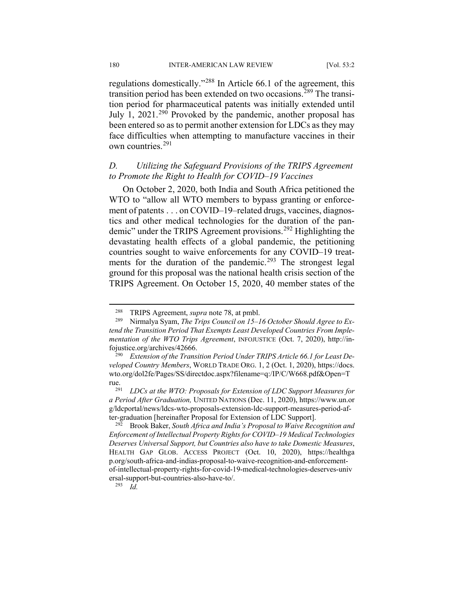regulations domestically."[288](#page-38-0) In Article 66.1 of the agreement, this transition period has been extended on two occasions.<sup>[289](#page-38-1)</sup> The transition period for pharmaceutical patents was initially extended until July 1,  $2021.^{290}$  $2021.^{290}$  $2021.^{290}$  Provoked by the pandemic, another proposal has been entered so as to permit another extension for LDCs as they may face difficulties when attempting to manufacture vaccines in their own countries.<sup>[291](#page-38-3)</sup>

## *D. Utilizing the Safeguard Provisions of the TRIPS Agreement to Promote the Right to Health for COVID–19 Vaccines*

On October 2, 2020, both India and South Africa petitioned the WTO to "allow all WTO members to bypass granting or enforcement of patents . . . on COVID–19–related drugs, vaccines, diagnostics and other medical technologies for the duration of the pan-demic" under the TRIPS Agreement provisions.<sup>[292](#page-38-4)</sup> Highlighting the devastating health effects of a global pandemic, the petitioning countries sought to waive enforcements for any COVID–19 treat-ments for the duration of the pandemic.<sup>[293](#page-38-5)</sup> The strongest legal ground for this proposal was the national health crisis section of the TRIPS Agreement. On October 15, 2020, 40 member states of the

 <sup>288</sup> TRIPS Agreement, *supra* note 78, at pmbl.

<span id="page-38-1"></span><span id="page-38-0"></span><sup>289</sup> Nirmalya Syam, *The Trips Council on 15–16 October Should Agree to Extend the Transition Period That Exempts Least Developed Countries From Implementation of the WTO Trips Agreement*, INFOJUSTICE (Oct. 7, 2020), http://infojustice.org/archives/42666.

<span id="page-38-2"></span><sup>290</sup> *Extension of the Transition Period Under TRIPS Article 66.1 for Least Developed Country Members*, WORLD TRADE ORG. 1, 2 (Oct. 1, 2020), https://docs. wto.org/dol2fe/Pages/SS/directdoc.aspx?filename=q:/IP/C/W668.pdf&Open=T rue.<br>291

<span id="page-38-3"></span><sup>291</sup> *LDCs at the WTO: Proposals for Extension of LDC Support Measures for a Period After Graduation,* UNITED NATIONS (Dec. 11, 2020), https://www.un.or g/ldcportal/news/ldcs-wto-proposals-extension-ldc-support-measures-period-after-graduation [hereinafter Proposal for Extension of LDC Support].

<span id="page-38-4"></span><sup>292</sup> Brook Baker, *South Africa and India's Proposal to Waive Recognition and Enforcement of Intellectual Property Rights for COVID–19 Medical Technologies Deserves Universal Support, but Countries also have to take Domestic Measures*, HEALTH GAP GLOB. ACCESS PROJECT (Oct. 10, 2020), https://healthga p.org/south-africa-and-indias-proposal-to-waive-recognition-and-enforcementof-intellectual-property-rights-for-covid-19-medical-technologies-deserves-univ ersal-support-but-countries-also-have-to/.

<span id="page-38-5"></span><sup>293</sup> *Id.*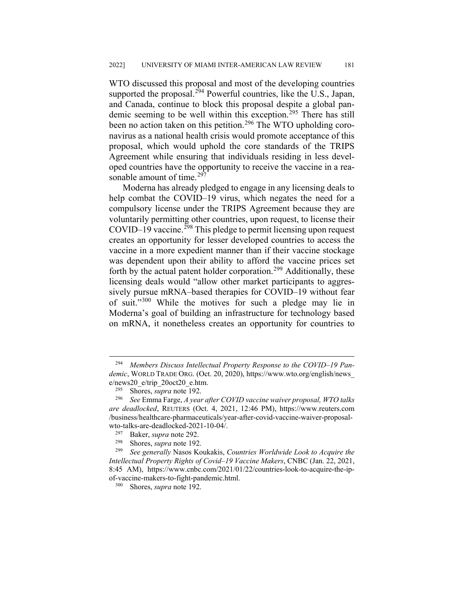WTO discussed this proposal and most of the developing countries supported the proposal.<sup>[294](#page-39-0)</sup> Powerful countries, like the U.S., Japan, and Canada, continue to block this proposal despite a global pan-demic seeming to be well within this exception.<sup>[295](#page-39-1)</sup> There has still been no action taken on this petition.<sup>[296](#page-39-2)</sup> The WTO upholding coronavirus as a national health crisis would promote acceptance of this proposal, which would uphold the core standards of the TRIPS Agreement while ensuring that individuals residing in less developed countries have the opportunity to receive the vaccine in a rea-sonable amount of time.<sup>[297](#page-39-3)</sup>

Moderna has already pledged to engage in any licensing deals to help combat the COVID–19 virus, which negates the need for a compulsory license under the TRIPS Agreement because they are voluntarily permitting other countries, upon request, to license their  $COVID-19$  vaccine.<sup>[298](#page-39-4)</sup> This pledge to permit licensing upon request creates an opportunity for lesser developed countries to access the vaccine in a more expedient manner than if their vaccine stockage was dependent upon their ability to afford the vaccine prices set forth by the actual patent holder corporation.<sup>[299](#page-39-5)</sup> Additionally, these licensing deals would "allow other market participants to aggressively pursue mRNA–based therapies for COVID–19 without fear of suit."[300](#page-39-6) While the motives for such a pledge may lie in Moderna's goal of building an infrastructure for technology based on mRNA, it nonetheless creates an opportunity for countries to

<span id="page-39-0"></span> <sup>294</sup> *Members Discuss Intellectual Property Response to the COVID–19 Pandemic*, WORLD TRADE ORG. (Oct. 20, 2020), https://www.wto.org/english/news\_  $e$ /news20\_e/trip\_20oct20\_e.htm.<br><sup>295</sup> Shores sunga pote 192

<sup>&</sup>lt;sup>295</sup> Shores, *supra* note 192.<br><sup>296</sup> See Emma Farge A year

<span id="page-39-2"></span><span id="page-39-1"></span><sup>296</sup> *See* Emma Farge, *A year after COVID vaccine waiver proposal, WTO talks are deadlocked*, REUTERS (Oct. 4, 2021, 12:46 PM), https://www.reuters.com /business/healthcare-pharmaceuticals/year-after-covid-vaccine-waiver-proposalwto-talks-are-deadlocked-2021-10-04/.<br> $^{297}$  Baker sung pote 202

<sup>&</sup>lt;sup>297</sup> Baker, *supra* note 292.<br><sup>298</sup> Shores, *supra* note 192

Shores, *supra* note 192.

<span id="page-39-6"></span><span id="page-39-5"></span><span id="page-39-4"></span><span id="page-39-3"></span><sup>299</sup> *See generally* Nasos Koukakis, *Countries Worldwide Look to Acquire the Intellectual Property Rights of Covid–19 Vaccine Makers*, CNBC (Jan. 22, 2021, 8:45 AM), https://www.cnbc.com/2021/01/22/countries-look-to-acquire-the-ipof-vaccine-makers-to-fight-pandemic.html.<br><sup>300</sup> Shores sung note 192

Shores, *supra* note 192.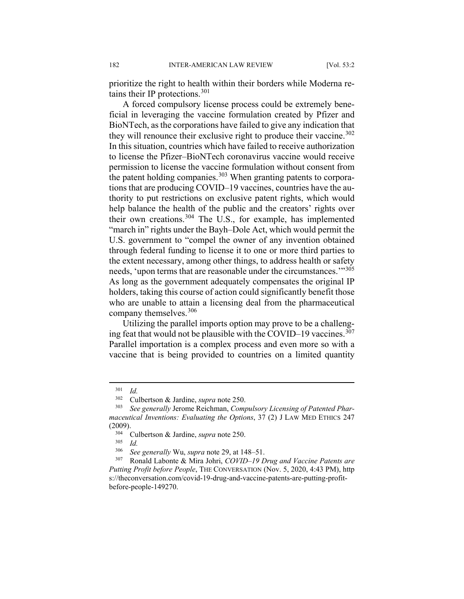prioritize the right to health within their borders while Moderna retains their IP protections.  $301$ 

A forced compulsory license process could be extremely beneficial in leveraging the vaccine formulation created by Pfizer and BioNTech, as the corporations have failed to give any indication that they will renounce their exclusive right to produce their vaccine.<sup>[302](#page-40-1)</sup> In this situation, countries which have failed to receive authorization to license the Pfizer–BioNTech coronavirus vaccine would receive permission to license the vaccine formulation without consent from the patent holding companies.<sup>[303](#page-40-2)</sup> When granting patents to corporations that are producing COVID–19 vaccines, countries have the authority to put restrictions on exclusive patent rights, which would help balance the health of the public and the creators' rights over their own creations.<sup>[304](#page-40-3)</sup> The U.S., for example, has implemented "march in" rights under the Bayh–Dole Act, which would permit the U.S. government to "compel the owner of any invention obtained through federal funding to license it to one or more third parties to the extent necessary, among other things, to address health or safety needs, 'upon terms that are reasonable under the circumstances.'"[305](#page-40-4) As long as the government adequately compensates the original IP holders, taking this course of action could significantly benefit those who are unable to attain a licensing deal from the pharmaceutical company themselves.<sup>[306](#page-40-5)</sup>

Utilizing the parallel imports option may prove to be a challeng-ing feat that would not be plausible with the COVID–19 vaccines.<sup>[307](#page-40-6)</sup> Parallel importation is a complex process and even more so with a vaccine that is being provided to countries on a limited quantity

 $\frac{305}{306}$  *Id.* 

<span id="page-40-0"></span> <sup>301</sup> *Id.*

<sup>302</sup> Culbertson & Jardine, *supra* note 250.

<span id="page-40-3"></span><span id="page-40-2"></span><span id="page-40-1"></span><sup>303</sup> *See generally* Jerome Reichman, *Compulsory Licensing of Patented Pharmaceutical Inventions: Evaluating the Options*, 37 (2) J LAW MED ETHICS 247  $(2009)$ .

<sup>304</sup> Culbertson & Jardine, *supra* note 250.

<sup>306</sup> *See generally* Wu, *supra* note 29, at 148–51.

<span id="page-40-6"></span><span id="page-40-5"></span><span id="page-40-4"></span><sup>307</sup> Ronald Labonte & Mira Johri, *COVID–19 Drug and Vaccine Patents are Putting Profit before People*, THE CONVERSATION (Nov. 5, 2020, 4:43 PM), http s://theconversation.com/covid-19-drug-and-vaccine-patents-are-putting-profitbefore-people-149270.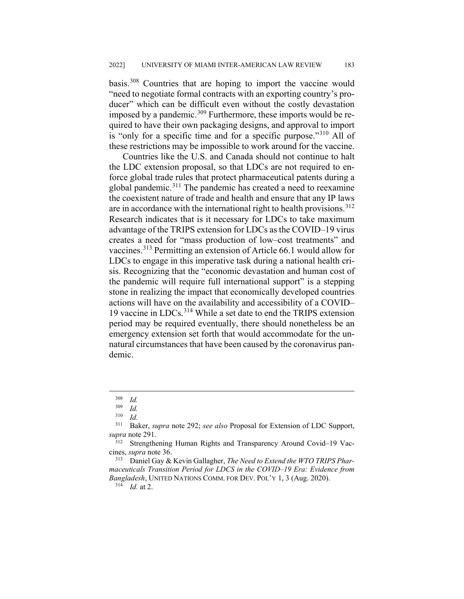basis.[308](#page-41-0) Countries that are hoping to import the vaccine would "need to negotiate formal contracts with an exporting country's producer" which can be difficult even without the costly devastation imposed by a pandemic.<sup>[309](#page-41-1)</sup> Furthermore, these imports would be required to have their own packaging designs, and approval to import is "only for a specific time and for a specific purpose."<sup>[310](#page-41-2)</sup> All of these restrictions may be impossible to work around for the vaccine.

Countries like the U.S. and Canada should not continue to halt the LDC extension proposal, so that LDCs are not required to enforce global trade rules that protect pharmaceutical patents during a global pandemic.<sup>[311](#page-41-3)</sup> The pandemic has created a need to reexamine the coexistent nature of trade and health and ensure that any IP laws are in accordance with the international right to health provisions.<sup>[312](#page-41-4)</sup> Research indicates that is it necessary for LDCs to take maximum advantage of the TRIPS extension for LDCs as the COVID–19 virus creates a need for "mass production of low–cost treatments" and vaccines.[313](#page-41-5) Permitting an extension of Article 66.1 would allow for LDCs to engage in this imperative task during a national health crisis. Recognizing that the "economic devastation and human cost of the pandemic will require full international support" is a stepping stone in realizing the impact that economically developed countries actions will have on the availability and accessibility of a COVID– 19 vaccine in LDCs.[314](#page-41-6) While a set date to end the TRIPS extension period may be required eventually, there should nonetheless be an emergency extension set forth that would accommodate for the unnatural circumstances that have been caused by the coronavirus pandemic.

 $\frac{308}{309}$  *Id.* 

 $\frac{309}{310}$  *Id.* 

 $rac{310}{311}$  *Id.* 

<span id="page-41-3"></span><span id="page-41-2"></span><span id="page-41-1"></span><span id="page-41-0"></span><sup>311</sup> Baker, *supra* note 292; *see also* Proposal for Extension of LDC Support, *supra* note 291.

<span id="page-41-4"></span>Strengthening Human Rights and Transparency Around Covid–19 Vaccines, *supra* note 36.

<span id="page-41-6"></span><span id="page-41-5"></span><sup>313</sup> Daniel Gay & Kevin Gallagher, *The Need to Extend the WTO TRIPS Pharmaceuticals Transition Period for LDCS in the COVID–19 Era: Evidence from Bangladesh*, UNITED NATIONS COMM. FOR DEV. POL'Y 1, 3 (Aug. 2020).

 $314$  *Id.* at 2.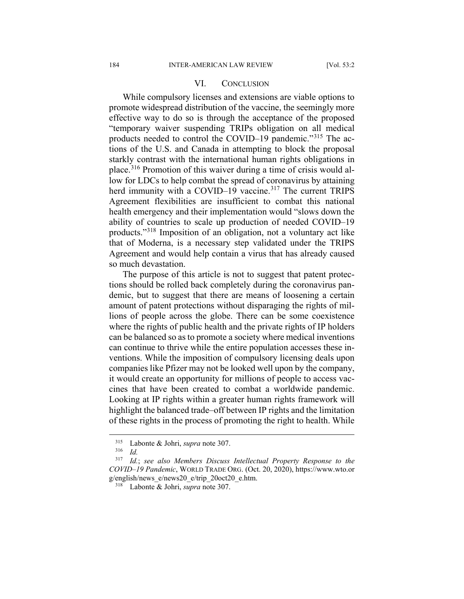#### VI. CONCLUSION

While compulsory licenses and extensions are viable options to promote widespread distribution of the vaccine, the seemingly more effective way to do so is through the acceptance of the proposed "temporary waiver suspending TRIPs obligation on all medical products needed to control the COVID–19 pandemic."[315](#page-42-0) The actions of the U.S. and Canada in attempting to block the proposal starkly contrast with the international human rights obligations in place.[316](#page-42-1) Promotion of this waiver during a time of crisis would allow for LDCs to help combat the spread of coronavirus by attaining herd immunity with a COVID–19 vaccine.<sup>[317](#page-42-2)</sup> The current TRIPS Agreement flexibilities are insufficient to combat this national health emergency and their implementation would "slows down the ability of countries to scale up production of needed COVID–19 products."[318](#page-42-3) Imposition of an obligation, not a voluntary act like that of Moderna, is a necessary step validated under the TRIPS Agreement and would help contain a virus that has already caused so much devastation.

The purpose of this article is not to suggest that patent protections should be rolled back completely during the coronavirus pandemic, but to suggest that there are means of loosening a certain amount of patent protections without disparaging the rights of millions of people across the globe. There can be some coexistence where the rights of public health and the private rights of IP holders can be balanced so as to promote a society where medical inventions can continue to thrive while the entire population accesses these inventions. While the imposition of compulsory licensing deals upon companies like Pfizer may not be looked well upon by the company, it would create an opportunity for millions of people to access vaccines that have been created to combat a worldwide pandemic. Looking at IP rights within a greater human rights framework will highlight the balanced trade–off between IP rights and the limitation of these rights in the process of promoting the right to health. While

 <sup>315</sup> Labonte & Johri, *supra* note 307.

 $\frac{316}{317}$  *Id.* 

<span id="page-42-3"></span><span id="page-42-2"></span><span id="page-42-1"></span><span id="page-42-0"></span><sup>317</sup> *Id.*; *see also Members Discuss Intellectual Property Response to the COVID–19 Pandemic*, WORLD TRADE ORG. (Oct. 20, 2020), https://www.wto.or g/english/news\_e/news20\_e/trip\_20oct20\_e.htm.

<sup>318</sup> Labonte & Johri, *supra* note 307.